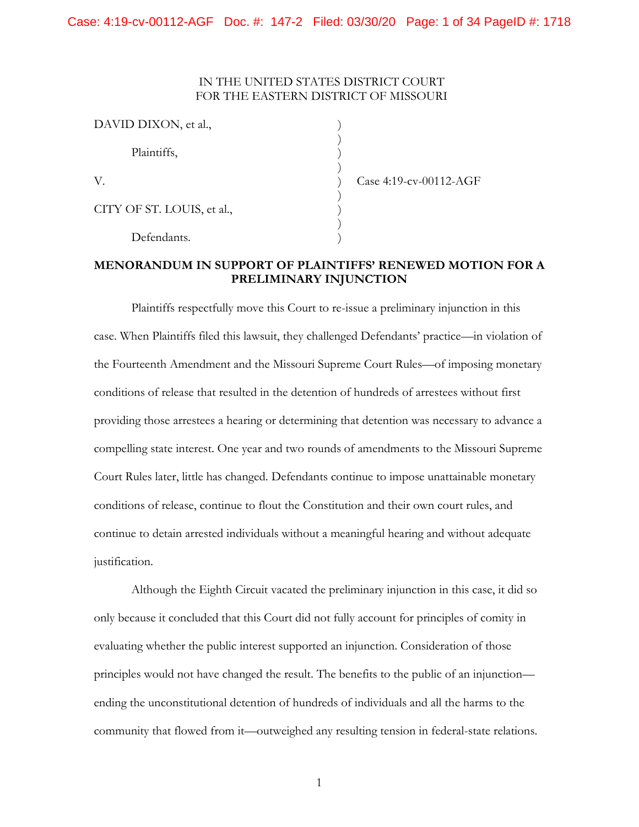### IN THE UNITED STATES DISTRICT COURT FOR THE EASTERN DISTRICT OF MISSOURI

| DAVID DIXON, et al.,       |  |
|----------------------------|--|
| Plaintiffs,                |  |
| V.                         |  |
| CITY OF ST. LOUIS, et al., |  |
| Defendants.                |  |

Case 4:19-cv-00112-AGF

# **MENORANDUM IN SUPPORT OF PLAINTIFFS' RENEWED MOTION FOR A PRELIMINARY INJUNCTION**

 providing those arrestees a hearing or determining that detention was necessary to advance a Plaintiffs respectfully move this Court to re-issue a preliminary injunction in this case. When Plaintiffs filed this lawsuit, they challenged Defendants' practice—in violation of the Fourteenth Amendment and the Missouri Supreme Court Rules—of imposing monetary conditions of release that resulted in the detention of hundreds of arrestees without first compelling state interest. One year and two rounds of amendments to the Missouri Supreme Court Rules later, little has changed. Defendants continue to impose unattainable monetary conditions of release, continue to flout the Constitution and their own court rules, and continue to detain arrested individuals without a meaningful hearing and without adequate justification.

Although the Eighth Circuit vacated the preliminary injunction in this case, it did so only because it concluded that this Court did not fully account for principles of comity in evaluating whether the public interest supported an injunction. Consideration of those principles would not have changed the result. The benefits to the public of an injunction ending the unconstitutional detention of hundreds of individuals and all the harms to the community that flowed from it—outweighed any resulting tension in federal-state relations.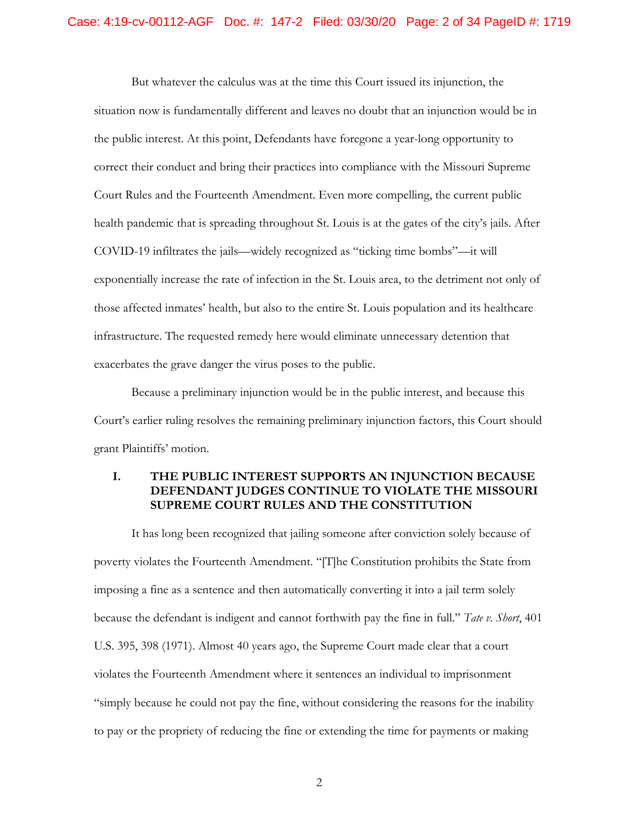exacerbates the grave danger the virus poses to the public. But whatever the calculus was at the time this Court issued its injunction, the situation now is fundamentally different and leaves no doubt that an injunction would be in the public interest. At this point, Defendants have foregone a year-long opportunity to correct their conduct and bring their practices into compliance with the Missouri Supreme Court Rules and the Fourteenth Amendment. Even more compelling, the current public health pandemic that is spreading throughout St. Louis is at the gates of the city's jails. After COVID-19 infiltrates the jails—widely recognized as "ticking time bombs"—it will exponentially increase the rate of infection in the St. Louis area, to the detriment not only of those affected inmates' health, but also to the entire St. Louis population and its healthcare infrastructure. The requested remedy here would eliminate unnecessary detention that

Because a preliminary injunction would be in the public interest, and because this Court's earlier ruling resolves the remaining preliminary injunction factors, this Court should grant Plaintiffs' motion.

### **I. THE PUBLIC INTEREST SUPPORTS AN INJUNCTION BECAUSE DEFENDANT JUDGES CONTINUE TO VIOLATE THE MISSOURI SUPREME COURT RULES AND THE CONSTITUTION**

It has long been recognized that jailing someone after conviction solely because of poverty violates the Fourteenth Amendment. "[T]he Constitution prohibits the State from imposing a fine as a sentence and then automatically converting it into a jail term solely because the defendant is indigent and cannot forthwith pay the fine in full." *Tate v. Short*, 401 U.S. 395, 398 (1971). Almost 40 years ago, the Supreme Court made clear that a court violates the Fourteenth Amendment where it sentences an individual to imprisonment "simply because he could not pay the fine, without considering the reasons for the inability to pay or the propriety of reducing the fine or extending the time for payments or making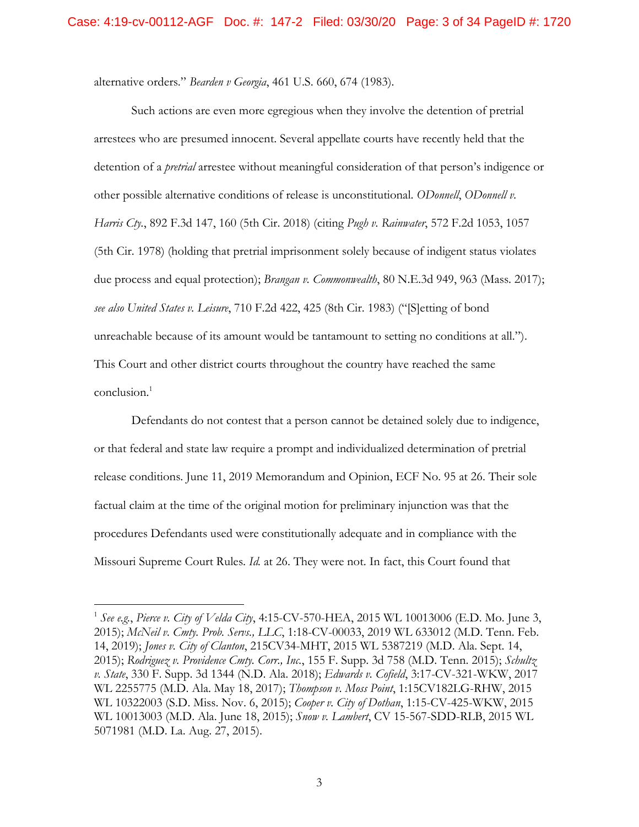alternative orders." *Bearden v Georgia*, 461 U.S. 660, 674 (1983).

conclusion.<sup>1</sup> Such actions are even more egregious when they involve the detention of pretrial arrestees who are presumed innocent. Several appellate courts have recently held that the detention of a *pretrial* arrestee without meaningful consideration of that person's indigence or other possible alternative conditions of release is unconstitutional. *ODonnell*, *ODonnell v. Harris Cty.*, 892 F.3d 147, 160 (5th Cir. 2018) (citing *Pugh v. Rainwater*, 572 F.2d 1053, 1057 (5th Cir. 1978) (holding that pretrial imprisonment solely because of indigent status violates due process and equal protection); *Brangan v. Commonwealth*, 80 N.E.3d 949, 963 (Mass. 2017); *see also United States v. Leisure*, 710 F.2d 422, 425 (8th Cir. 1983) ("[S]etting of bond unreachable because of its amount would be tantamount to setting no conditions at all."). This Court and other district courts throughout the country have reached the same

Defendants do not contest that a person cannot be detained solely due to indigence, or that federal and state law require a prompt and individualized determination of pretrial release conditions. June 11, 2019 Memorandum and Opinion, ECF No. 95 at 26. Their sole factual claim at the time of the original motion for preliminary injunction was that the procedures Defendants used were constitutionally adequate and in compliance with the Missouri Supreme Court Rules. *Id.* at 26. They were not. In fact, this Court found that

<sup>1</sup>*See e.g.*, *Pierce v. City of Velda City*, 4:15-CV-570-HEA, 2015 WL 10013006 (E.D. Mo. June 3, 2015); *McNeil v. Cmty. Prob. Servs., LLC*, 1:18-CV-00033, 2019 WL 633012 (M.D. Tenn. Feb. 14, 2019); *Jones v. City of Clanton*, 215CV34-MHT, 2015 WL 5387219 (M.D. Ala. Sept. 14, 2015); *Rodriguez v. Providence Cmty. Corr., Inc.*, 155 F. Supp. 3d 758 (M.D. Tenn. 2015); *Schultz v. State*, 330 F. Supp. 3d 1344 (N.D. Ala. 2018); *Edwards v. Cofield*, 3:17-CV-321-WKW, 2017 WL 2255775 (M.D. Ala. May 18, 2017); *Thompson v. Moss Point*, 1:15CV182LG-RHW, 2015 WL 10322003 (S.D. Miss. Nov. 6, 2015); *Cooper v. City of Dothan*, 1:15-CV-425-WKW, 2015 WL 10013003 (M.D. Ala. June 18, 2015); *Snow v. Lambert*, CV 15-567-SDD-RLB, 2015 WL 5071981 (M.D. La. Aug. 27, 2015).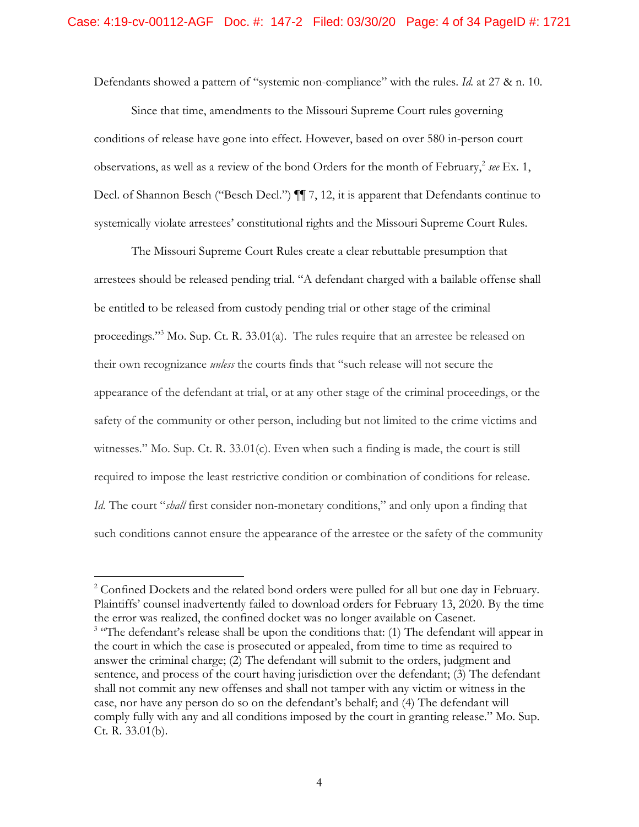Defendants showed a pattern of "systemic non-compliance" with the rules. *Id.* at 27 & n. 10.

Since that time, amendments to the Missouri Supreme Court rules governing conditions of release have gone into effect. However, based on over 580 in-person court observations, as well as a review of the bond Orders for the month of February,  $\frac{2}{3}$  see Ex. 1, Decl. of Shannon Besch ("Besch Decl.")  $\P$  7, 12, it is apparent that Defendants continue to systemically violate arrestees' constitutional rights and the Missouri Supreme Court Rules.

The Missouri Supreme Court Rules create a clear rebuttable presumption that arrestees should be released pending trial. "A defendant charged with a bailable offense shall be entitled to be released from custody pending trial or other stage of the criminal proceedings."3 Mo. Sup. Ct. R. 33.01(a). The rules require that an arrestee be released on their own recognizance *unless* the courts finds that "such release will not secure the appearance of the defendant at trial, or at any other stage of the criminal proceedings, or the safety of the community or other person, including but not limited to the crime victims and witnesses." Mo. Sup. Ct. R.  $33.01(c)$ . Even when such a finding is made, the court is still required to impose the least restrictive condition or combination of conditions for release. *Id.* The court "*shall* first consider non-monetary conditions," and only upon a finding that such conditions cannot ensure the appearance of the arrestee or the safety of the community

<sup>&</sup>lt;sup>2</sup> Confined Dockets and the related bond orders were pulled for all but one day in February. Plaintiffs' counsel inadvertently failed to download orders for February 13, 2020. By the time the error was realized, the confined docket was no longer available on Casenet. <sup>3</sup> "The defendant's release shall be upon the conditions that: (1) The defendant will appear in the court in which the case is prosecuted or appealed, from time to time as required to answer the criminal charge; (2) The defendant will submit to the orders, judgment and sentence, and process of the court having jurisdiction over the defendant; (3) The defendant shall not commit any new offenses and shall not tamper with any victim or witness in the case, nor have any person do so on the defendant's behalf; and (4) The defendant will comply fully with any and all conditions imposed by the court in granting release." Mo. Sup. Ct. R. 33.01(b).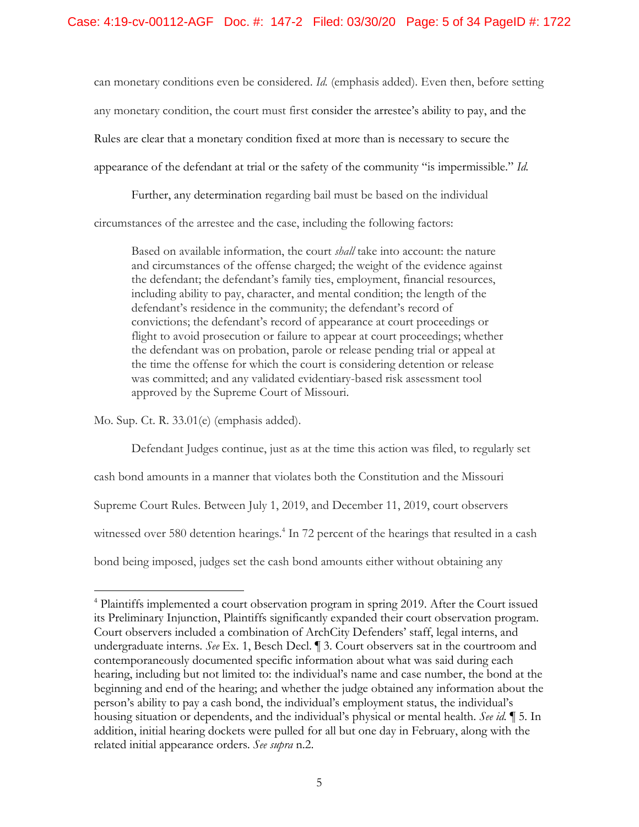can monetary conditions even be considered. *Id.* (emphasis added). Even then, before setting any monetary condition, the court must first consider the arrestee's ability to pay, and the Rules are clear that a monetary condition fixed at more than is necessary to secure the appearance of the defendant at trial or the safety of the community "is impermissible." *Id.* 

Further, any determination regarding bail must be based on the individual circumstances of the arrestee and the case, including the following factors:

Based on available information, the court *shall* take into account: the nature and circumstances of the offense charged; the weight of the evidence against the defendant; the defendant's family ties, employment, financial resources, including ability to pay, character, and mental condition; the length of the defendant's residence in the community; the defendant's record of convictions; the defendant's record of appearance at court proceedings or flight to avoid prosecution or failure to appear at court proceedings; whether the defendant was on probation, parole or release pending trial or appeal at the time the offense for which the court is considering detention or release was committed; and any validated evidentiary-based risk assessment tool approved by the Supreme Court of Missouri.

Mo. Sup. Ct. R. 33.01(e) (emphasis added).

 $\overline{a}$ 

Defendant Judges continue, just as at the time this action was filed, to regularly set cash bond amounts in a manner that violates both the Constitution and the Missouri Supreme Court Rules. Between July 1, 2019, and December 11, 2019, court observers witnessed over 580 detention hearings.<sup>4</sup> In 72 percent of the hearings that resulted in a cash bond being imposed, judges set the cash bond amounts either without obtaining any

 related initial appearance orders. *See supra* n.2. 4 Plaintiffs implemented a court observation program in spring 2019. After the Court issued its Preliminary Injunction, Plaintiffs significantly expanded their court observation program. Court observers included a combination of ArchCity Defenders' staff, legal interns, and undergraduate interns. *See* Ex. 1, Besch Decl. ¶ 3. Court observers sat in the courtroom and contemporaneously documented specific information about what was said during each hearing, including but not limited to: the individual's name and case number, the bond at the beginning and end of the hearing; and whether the judge obtained any information about the person's ability to pay a cash bond, the individual's employment status, the individual's housing situation or dependents, and the individual's physical or mental health. *See id.* ¶ 5. In addition, initial hearing dockets were pulled for all but one day in February, along with the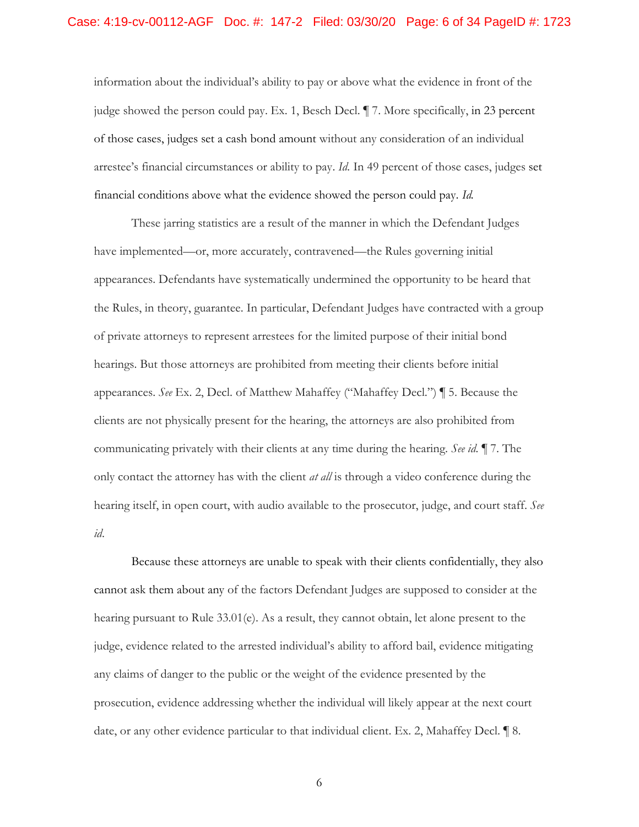information about the individual's ability to pay or above what the evidence in front of the judge showed the person could pay. Ex. 1, Besch Decl. ¶ 7. More specifically, in 23 percent of those cases, judges set a cash bond amount without any consideration of an individual arrestee's financial circumstances or ability to pay. *Id.* In 49 percent of those cases, judges set financial conditions above what the evidence showed the person could pay. *Id.* 

These jarring statistics are a result of the manner in which the Defendant Judges have implemented—or, more accurately, contravened—the Rules governing initial appearances. Defendants have systematically undermined the opportunity to be heard that the Rules, in theory, guarantee. In particular, Defendant Judges have contracted with a group of private attorneys to represent arrestees for the limited purpose of their initial bond hearings. But those attorneys are prohibited from meeting their clients before initial appearances. *See* Ex. 2, Decl. of Matthew Mahaffey ("Mahaffey Decl.") ¶ 5. Because the clients are not physically present for the hearing, the attorneys are also prohibited from communicating privately with their clients at any time during the hearing. *See id.* ¶ 7. The only contact the attorney has with the client *at all* is through a video conference during the hearing itself, in open court, with audio available to the prosecutor, judge, and court staff. *See id*.

Because these attorneys are unable to speak with their clients confidentially, they also cannot ask them about any of the factors Defendant Judges are supposed to consider at the hearing pursuant to Rule 33.01(e). As a result, they cannot obtain, let alone present to the judge, evidence related to the arrested individual's ability to afford bail, evidence mitigating any claims of danger to the public or the weight of the evidence presented by the prosecution, evidence addressing whether the individual will likely appear at the next court date, or any other evidence particular to that individual client. Ex. 2, Mahaffey Decl. ¶ 8.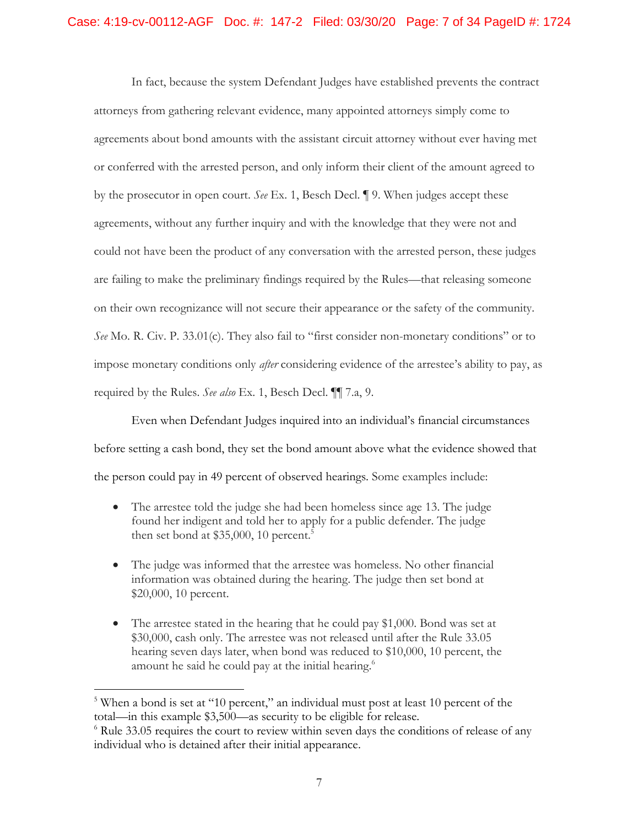In fact, because the system Defendant Judges have established prevents the contract attorneys from gathering relevant evidence, many appointed attorneys simply come to agreements about bond amounts with the assistant circuit attorney without ever having met or conferred with the arrested person, and only inform their client of the amount agreed to by the prosecutor in open court. *See* Ex. 1, Besch Decl. ¶ 9. When judges accept these agreements, without any further inquiry and with the knowledge that they were not and could not have been the product of any conversation with the arrested person, these judges are failing to make the preliminary findings required by the Rules—that releasing someone on their own recognizance will not secure their appearance or the safety of the community. *See* Mo. R. Civ. P. 33.01(c). They also fail to "first consider non-monetary conditions" or to impose monetary conditions only *after* considering evidence of the arrestee's ability to pay, as required by the Rules. *See also* Ex. 1, Besch Decl. ¶¶ 7.a, 9.

Even when Defendant Judges inquired into an individual's financial circumstances before setting a cash bond, they set the bond amount above what the evidence showed that the person could pay in 49 percent of observed hearings. Some examples include:

- The arrestee told the judge she had been homeless since age 13. The judge found her indigent and told her to apply for a public defender. The judge then set bond at  $$35,000, 10$  percent.<sup>5</sup>
- The judge was informed that the arrestee was homeless. No other financial information was obtained during the hearing. The judge then set bond at \$20,000, 10 percent.
- The arrestee stated in the hearing that he could pay \$1,000. Bond was set at \$30,000, cash only. The arrestee was not released until after the Rule 33.05 hearing seven days later, when bond was reduced to \$10,000, 10 percent, the amount he said he could pay at the initial hearing.<sup>6</sup>

<sup>&</sup>lt;sup>5</sup> When a bond is set at "10 percent," an individual must post at least 10 percent of the total—in this example \$3,500—as security to be eligible for release.

 $6$  Rule 33.05 requires the court to review within seven days the conditions of release of any individual who is detained after their initial appearance.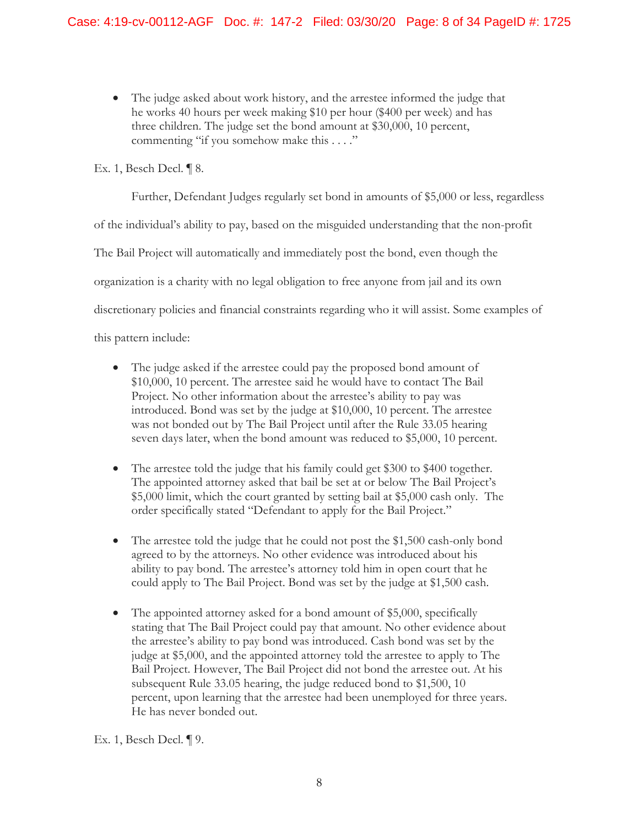• The judge asked about work history, and the arrestee informed the judge that he works 40 hours per week making \$10 per hour (\$400 per week) and has three children. The judge set the bond amount at \$30,000, 10 percent, commenting "if you somehow make this . . . ."

Ex. 1, Besch Decl. ¶ 8.

Further, Defendant Judges regularly set bond in amounts of \$5,000 or less, regardless

of the individual's ability to pay, based on the misguided understanding that the non-profit

The Bail Project will automatically and immediately post the bond, even though the

organization is a charity with no legal obligation to free anyone from jail and its own

discretionary policies and financial constraints regarding who it will assist. Some examples of

this pattern include:

- The judge asked if the arrestee could pay the proposed bond amount of \$10,000, 10 percent. The arrestee said he would have to contact The Bail Project. No other information about the arrestee's ability to pay was introduced. Bond was set by the judge at \$10,000, 10 percent. The arrestee was not bonded out by The Bail Project until after the Rule 33.05 hearing seven days later, when the bond amount was reduced to \$5,000, 10 percent.
- \$5,000 limit, which the court granted by setting bail at \$5,000 cash only. The • The arrestee told the judge that his family could get \$300 to \$400 together. The appointed attorney asked that bail be set at or below The Bail Project's order specifically stated "Defendant to apply for the Bail Project."
- The arrestee told the judge that he could not post the \$1,500 cash-only bond agreed to by the attorneys. No other evidence was introduced about his ability to pay bond. The arrestee's attorney told him in open court that he could apply to The Bail Project. Bond was set by the judge at \$1,500 cash.
- The appointed attorney asked for a bond amount of \$5,000, specifically stating that The Bail Project could pay that amount. No other evidence about the arrestee's ability to pay bond was introduced. Cash bond was set by the judge at \$5,000, and the appointed attorney told the arrestee to apply to The Bail Project. However, The Bail Project did not bond the arrestee out. At his subsequent Rule 33.05 hearing, the judge reduced bond to \$1,500, 10 percent, upon learning that the arrestee had been unemployed for three years. He has never bonded out.

Ex. 1, Besch Decl. ¶ 9.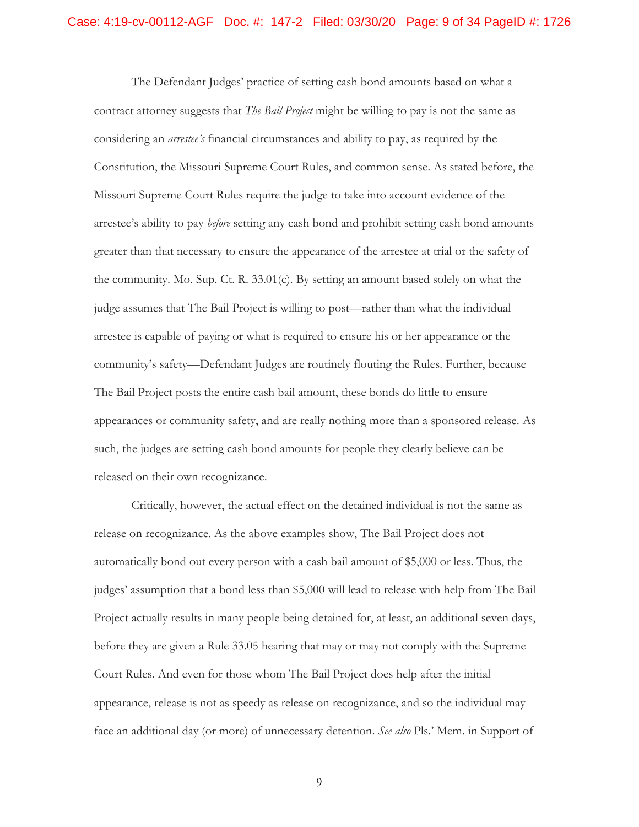The Defendant Judges' practice of setting cash bond amounts based on what a contract attorney suggests that *The Bail Project* might be willing to pay is not the same as considering an *arrestee's* financial circumstances and ability to pay, as required by the Constitution, the Missouri Supreme Court Rules, and common sense. As stated before, the Missouri Supreme Court Rules require the judge to take into account evidence of the arrestee's ability to pay *before* setting any cash bond and prohibit setting cash bond amounts greater than that necessary to ensure the appearance of the arrestee at trial or the safety of the community. Mo. Sup. Ct. R. 33.01(c)*.* By setting an amount based solely on what the judge assumes that The Bail Project is willing to post—rather than what the individual arrestee is capable of paying or what is required to ensure his or her appearance or the community's safety—Defendant Judges are routinely flouting the Rules. Further, because The Bail Project posts the entire cash bail amount, these bonds do little to ensure appearances or community safety, and are really nothing more than a sponsored release. As such, the judges are setting cash bond amounts for people they clearly believe can be released on their own recognizance.

Critically, however, the actual effect on the detained individual is not the same as release on recognizance. As the above examples show, The Bail Project does not automatically bond out every person with a cash bail amount of \$5,000 or less. Thus, the judges' assumption that a bond less than \$5,000 will lead to release with help from The Bail Project actually results in many people being detained for, at least, an additional seven days, before they are given a Rule 33.05 hearing that may or may not comply with the Supreme Court Rules. And even for those whom The Bail Project does help after the initial appearance, release is not as speedy as release on recognizance, and so the individual may face an additional day (or more) of unnecessary detention. *See also* Pls.' Mem. in Support of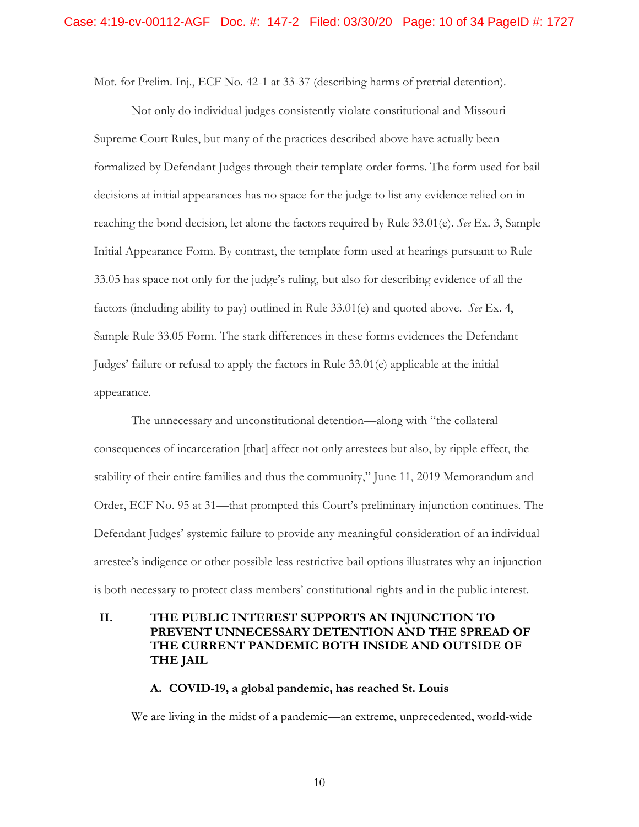Mot. for Prelim. Inj., ECF No. 42-1 at 33-37 (describing harms of pretrial detention).

 factors (including ability to pay) outlined in Rule 33.01(e) and quoted above. *See* Ex. 4, Not only do individual judges consistently violate constitutional and Missouri Supreme Court Rules, but many of the practices described above have actually been formalized by Defendant Judges through their template order forms. The form used for bail decisions at initial appearances has no space for the judge to list any evidence relied on in reaching the bond decision, let alone the factors required by Rule 33.01(e). *See* Ex. 3, Sample Initial Appearance Form. By contrast, the template form used at hearings pursuant to Rule 33.05 has space not only for the judge's ruling, but also for describing evidence of all the Sample Rule 33.05 Form. The stark differences in these forms evidences the Defendant Judges' failure or refusal to apply the factors in Rule 33.01(e) applicable at the initial appearance.

The unnecessary and unconstitutional detention—along with "the collateral consequences of incarceration [that] affect not only arrestees but also, by ripple effect, the stability of their entire families and thus the community," June 11, 2019 Memorandum and Order, ECF No. 95 at 31—that prompted this Court's preliminary injunction continues. The Defendant Judges' systemic failure to provide any meaningful consideration of an individual arrestee's indigence or other possible less restrictive bail options illustrates why an injunction is both necessary to protect class members' constitutional rights and in the public interest.

# **II. THE PUBLIC INTEREST SUPPORTS AN INJUNCTION TO PREVENT UNNECESSARY DETENTION AND THE SPREAD OF THE CURRENT PANDEMIC BOTH INSIDE AND OUTSIDE OF THE JAIL**

#### **A. COVID-19, a global pandemic, has reached St. Louis**

We are living in the midst of a pandemic—an extreme, unprecedented, world-wide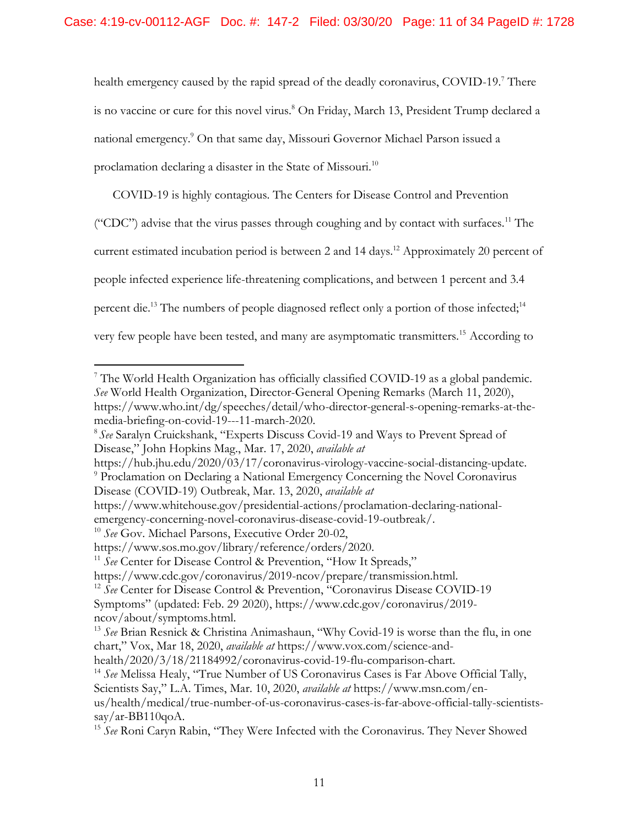health emergency caused by the rapid spread of the deadly coronavirus, COVID-19.<sup>7</sup> There is no vaccine or cure for this novel virus.<sup>8</sup> On Friday, March 13, President Trump declared a national emergency.9 On that same day, Missouri Governor Michael Parson issued a proclamation declaring a disaster in the State of Missouri.<sup>10</sup>

COVID-19 is highly contagious. The Centers for Disease Control and Prevention ("CDC") advise that the virus passes through coughing and by contact with surfaces.<sup>11</sup> The current estimated incubation period is between 2 and 14 days.<sup>12</sup> Approximately 20 percent of people infected experience life-threatening complications, and between 1 percent and 3.4 percent die.<sup>13</sup> The numbers of people diagnosed reflect only a portion of those infected;<sup>14</sup> very few people have been tested, and many are asymptomatic transmitters.<sup>15</sup> According to

https://hub.jhu.edu/2020/03/17/coronavirus-virology-vaccine-social-distancing-update.<br><sup>9</sup> Proclamation on Declaring a National Emergency Concerning the Novel Coronavirus Disease (COVID-19) Outbreak, Mar. 13, 2020, *available at* 

 $\overline{a}$ 7 The World Health Organization has officially classified COVID-19 as a global pandemic. *See* World Health Organization, Director-General Opening Remarks (March 11, 2020), https://www.who.int/dg/speeches/detail/who-director-general-s-opening-remarks-at-themedia-briefing-on-covid-19---11-march-2020.<br><sup>8</sup> See Saralyn Cruickshank, "Experts Discuss Covid-19 and Ways to Prevent Spread of

Disease," John Hopkins Mag., Mar. 17, 2020, *available at* 

https://www.whitehouse.gov/presidential-actions/proclamation-declaring-nationalemergency-concerning-novel-coronavirus-disease-covid-19-outbreak/. 10 *See* Gov. Michael Parsons, Executive Order 20-02,

https://www.sos.mo.gov/library/reference/orders/2020. 11 *See* Center for Disease Control & Prevention, "How It Spreads,"

https://www.cdc.gov/coronavirus/2019-ncov/prepare/transmission.html. 12 *See* Center for Disease Control & Prevention, "Coronavirus Disease COVID-19 Symptoms" (updated: Feb. 29 2020), https://www.cdc.gov/coronavirus/2019-

ncov/about/symptoms.html.

<sup>13</sup>*See* Brian Resnick & Christina Animashaun, "Why Covid-19 is worse than the flu, in one chart," Vox, Mar 18, 2020, *available at* [https://www.vox.com/science-and-](https://www.vox.com/science-and-health/2020/3/18/21184992/coronavirus-covid-19-flu-comparison-chart)

[health/2020/3/18/21184992/coronavirus-covid-19-flu-comparison-chart.](https://www.vox.com/science-and-health/2020/3/18/21184992/coronavirus-covid-19-flu-comparison-chart) 14 *See* Melissa Healy, "True Number of US Coronavirus Cases is Far Above Official Tally,

Scientists Say," L.A. Times, Mar. 10, 2020, *available at* https://www.msn.com/en-

us/health/medical/true-number-of-us-coronavirus-cases-is-far-above-official-tally-scientists $sav/ar-BB110qoA$ .

<sup>15</sup>*See* Roni Caryn Rabin, "They Were Infected with the Coronavirus. They Never Showed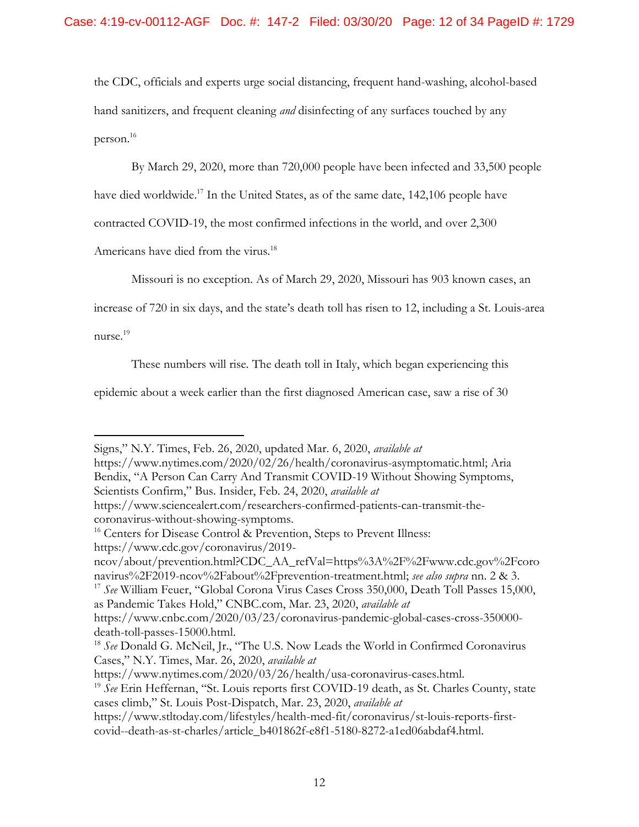the CDC, officials and experts urge social distancing, frequent hand-washing, alcohol-based hand sanitizers, and frequent cleaning *and* disinfecting of any surfaces touched by any person.<sup>16</sup>

By March 29, 2020, more than 720,000 people have been infected and 33,500 people

have died worldwide.<sup>17</sup> In the United States, as of the same date, 142,106 people have

contracted COVID-19, the most confirmed infections in the world, and over 2,300

Americans have died from the virus.<sup>18</sup>

Missouri is no exception. As of March 29, 2020, Missouri has 903 known cases, an

increase of 720 in six days, and the state's death toll has risen to 12, including a St. Louis-area nurse.<sup>19</sup>

 $\overline{a}$ 

These numbers will rise. The death toll in Italy, which began experiencing this

epidemic about a week earlier than the first diagnosed American case, saw a rise of 30

as Pandemic Takes Hold," CNBC.com, Mar. 23, 2020, *available at*  https://www.cnbc.com/2020/03/23/coronavirus-pandemic-global-cases-cross-350000-

Signs," N.Y. Times, Feb. 26, 2020, updated Mar. 6, 2020, *available at* 

[https://www.nytimes.com/2020/02/26/health/coronavirus-asymptomatic.html;](https://www.nytimes.com/2020/02/26/health/coronavirus-asymptomatic.html) Aria Bendix, "A Person Can Carry And Transmit COVID-19 Without Showing Symptoms, Scientists Confirm," Bus. Insider, Feb. 24, 2020, *available at* 

https://www.sciencealert.com/researchers-confirmed-patients-can-transmit-thecoronavirus-without-showing-symptoms.

<sup>&</sup>lt;sup>16</sup> Centers for Disease Control & Prevention, Steps to Prevent Illness: https://www.cdc.gov/coronavirus/2019-

ncov/about/prevention.html?CDC\_AA\_refVal=https%3A%2F%2Fwww.cdc.gov%2Fcoro navirus%2F2019-ncov%2Fabout%2Fprevention-treatment.html; *see also supra* nn. 2 & 3. 17 *See* William Feuer, "Global Corona Virus Cases Cross 350,000, Death Toll Passes 15,000,

death-toll-passes-15000.html.<br><sup>18</sup> *See* Donald G. McNeil, Jr., "The U.S. Now Leads the World in Confirmed Coronavirus Cases," N.Y. Times, Mar. 26, 2020, *available at* 

https://www.nytimes.com/2020/03/26/health/usa-coronavirus-cases.html. 19 *See* Erin Heffernan, "St. Louis reports first COVID-19 death, as St. Charles County, state cases climb," St. Louis Post-Dispatch, Mar. 23, 2020, *available at* 

https://www.stltoday.com/lifestyles/health-med-fit/coronavirus/st-louis-reports-firstcovid--death-as-st-charles/article\_b401862f-e8f1-5180-8272-a1ed06abdaf4.html.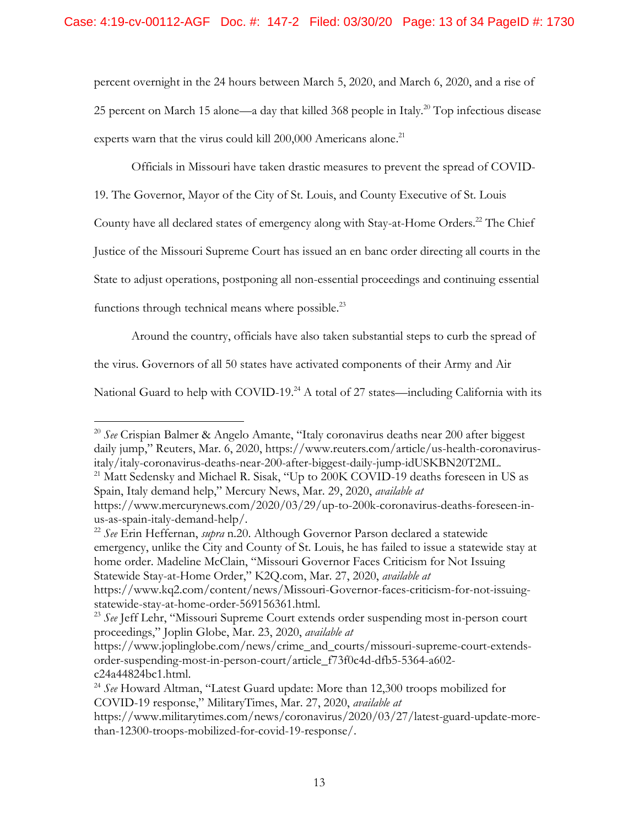experts warn that the virus could kill 200,000 Americans alone.<sup>21</sup> percent overnight in the 24 hours between March 5, 2020, and March 6, 2020, and a rise of 25 percent on March 15 alone—a day that killed 368 people in Italy.<sup>20</sup> Top infectious disease

Officials in Missouri have taken drastic measures to prevent the spread of COVID-

19. The Governor, Mayor of the City of St. Louis, and County Executive of St. Louis

County have all declared states of emergency along with Stay-at-Home Orders.<sup>22</sup> The Chief

Justice of the Missouri Supreme Court has issued an en banc order directing all courts in the

State to adjust operations, postponing all non-essential proceedings and continuing essential

functions through technical means where possible. $^{23}$ 

 $\overline{a}$ 

Around the country, officials have also taken substantial steps to curb the spread of

the virus. Governors of all 50 states have activated components of their Army and Air

National Guard to help with COVID-19.<sup>24</sup> A total of 27 states—including California with its

us-as-spain-italy-demand-help/. 22 *See* Erin Heffernan, *supra* n.20. Although Governor Parson declared a statewide emergency, unlike the City and County of St. Louis, he has failed to issue a statewide stay at home order. Madeline McClain, "Missouri Governor Faces Criticism for Not Issuing Statewide Stay-at-Home Order," K2Q.com, Mar. 27, 2020, *available at* 

<sup>20</sup>*See* Crispian Balmer & Angelo Amante, "Italy coronavirus deaths near 200 after biggest daily jump," Reuters, Mar. 6, 2020, https://www.reuters.com/article/us-health-coronavirus-

italy/italy-coronavirus-deaths-near-200-after-biggest-daily-jump-idUSKBN20T2ML. 21 Matt Sedensky and Michael R. Sisak, "Up to 200K COVID-19 deaths foreseen in US as Spain, Italy demand help," Mercury News, Mar. 29, 2020, *available at* 

https://www.mercurynews.com/2020/03/29/up-to-200k-coronavirus-deaths-foreseen-in-

https://www.kq2.com/content/news/Missouri-Governor-faces-criticism-for-not-issuingstatewide-stay-at-home-order-569156361.html.

<sup>23</sup>*See* Jeff Lehr, "Missouri Supreme Court extends order suspending most in-person court proceedings," Joplin Globe, Mar. 23, 2020, *available at* 

https://www.joplinglobe.com/news/crime\_and\_courts/missouri-supreme-court-extendsorder-suspending-most-in-person-court/article\_f73f0c4d-dfb5-5364-a602-

c24a44824bc1.html. 24 *See* Howard Altman, "Latest Guard update: More than 12,300 troops mobilized for COVID-19 response," MilitaryTimes, Mar. 27, 2020, *available at* 

https://www.militarytimes.com/news/coronavirus/2020/03/27/latest-guard-update-morethan-12300-troops-mobilized-for-covid-19-response/.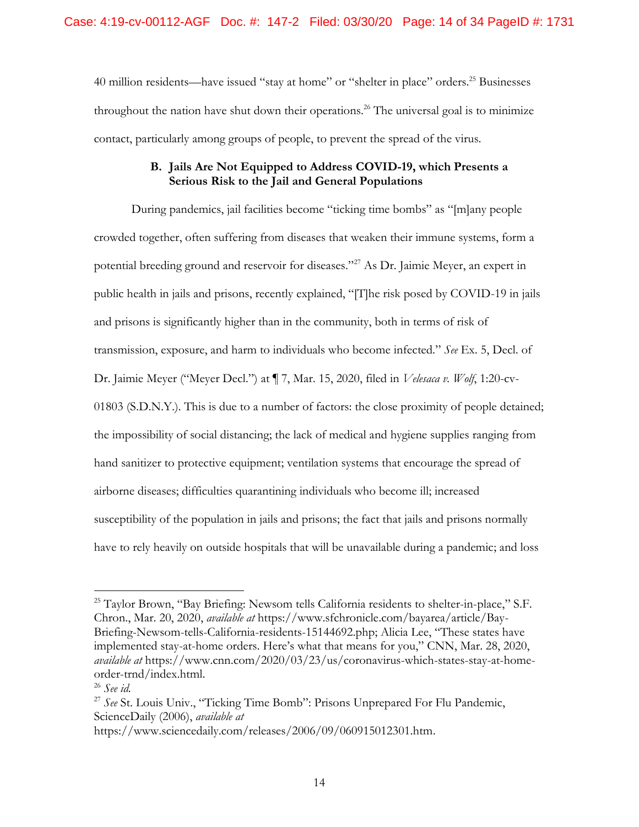40 million residents—have issued "stay at home" or "shelter in place" orders.<sup>25</sup> Businesses throughout the nation have shut down their operations.<sup>26</sup> The universal goal is to minimize contact, particularly among groups of people, to prevent the spread of the virus.

### **B. Jails Are Not Equipped to Address COVID-19, which Presents a Serious Risk to the Jail and General Populations**

During pandemics, jail facilities become "ticking time bombs" as "[m]any people crowded together, often suffering from diseases that weaken their immune systems, form a potential breeding ground and reservoir for diseases."27 As Dr. Jaimie Meyer, an expert in public health in jails and prisons, recently explained, "[T]he risk posed by COVID-19 in jails and prisons is significantly higher than in the community, both in terms of risk of transmission, exposure, and harm to individuals who become infected." *See* Ex. 5, Decl. of Dr. Jaimie Meyer ("Meyer Decl.") at ¶ 7, Mar. 15, 2020, filed in *Velesaca v. Wolf*, 1:20-cv-01803 (S.D.N.Y.). This is due to a number of factors: the close proximity of people detained; the impossibility of social distancing; the lack of medical and hygiene supplies ranging from hand sanitizer to protective equipment; ventilation systems that encourage the spread of airborne diseases; difficulties quarantining individuals who become ill; increased susceptibility of the population in jails and prisons; the fact that jails and prisons normally have to rely heavily on outside hospitals that will be unavailable during a pandemic; and loss

<sup>&</sup>lt;sup>25</sup> Taylor Brown, "Bay Briefing: Newsom tells California residents to shelter-in-place," S.F. Chron., Mar. 20, 2020, *available at* [https://www.sfchronicle.com/bayarea/article/Bay-](https://www.sfchronicle.com/bayarea/article/Bay-Briefing-Newsom-tells-California-residents-15144692.php)[Briefing-Newsom-tells-California-residents-15144692.php;](https://www.sfchronicle.com/bayarea/article/Bay-Briefing-Newsom-tells-California-residents-15144692.php) Alicia Lee, "These states have implemented stay-at-home orders. Here's what that means for you," CNN, Mar. 28, 2020, *available at* https://www.cnn.com/2020/03/23/us/coronavirus-which-states-stay-at-homeorder-trnd/index.html. 26 *See id.* 

<sup>27</sup>*See* St. Louis Univ., "Ticking Time Bomb": Prisons Unprepared For Flu Pandemic, ScienceDaily (2006), *available at* 

https://www.sciencedaily.com/releases/2006/09/060915012301.htm.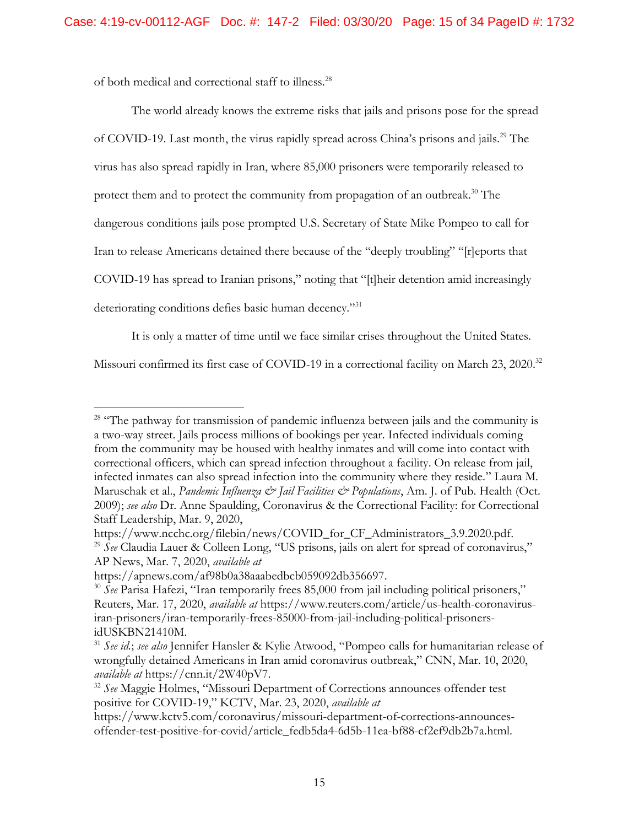of both medical and correctional staff to illness.<sup>28</sup>

The world already knows the extreme risks that jails and prisons pose for the spread of COVID-19. Last month, the virus rapidly spread across China's prisons and jails.<sup>29</sup> The virus has also spread rapidly in Iran, where 85,000 prisoners were temporarily released to protect them and to protect the community from propagation of an outbreak.<sup>30</sup> The dangerous conditions jails pose prompted U.S. Secretary of State Mike Pompeo to call for Iran to release Americans detained there because of the "deeply troubling" "[r]eports that COVID-19 has spread to Iranian prisons," noting that "[t]heir detention amid increasingly deteriorating conditions defies basic human decency."<sup>31</sup>

It is only a matter of time until we face similar crises throughout the United States.

Missouri confirmed its first case of COVID-19 in a correctional facility on March 23, 2020.<sup>32</sup>

<sup>&</sup>lt;sup>28</sup> "The pathway for transmission of pandemic influenza between jails and the community is a two-way street. Jails process millions of bookings per year. Infected individuals coming from the community may be housed with healthy inmates and will come into contact with correctional officers, which can spread infection throughout a facility. On release from jail, infected inmates can also spread infection into the community where they reside." Laura M. Maruschak et al., *Pandemic Influenza & Jail Facilities & Populations*, Am. J. of Pub. Health (Oct. 2009); *see also* Dr. Anne Spaulding, Coronavirus & the Correctional Facility: for Correctional Staff Leadership, Mar. 9, 2020,

https://www.ncchc.org/filebin/news/COVID\_for\_CF\_Administrators\_3.9.2020.pdf. 29 *See* Claudia Lauer & Colleen Long, "US prisons, jails on alert for spread of coronavirus," AP News, Mar. 7, 2020, *available at* 

https://apnews.com/af98b0a38aaabedbcb059092db356697. 30 *See* Parisa Hafezi, "Iran temporarily frees 85,000 from jail including political prisoners," Reuters, Mar. 17, 2020, *available at* https://www.reuters.com/article/us-health-coronavirusiran-prisoners/iran-temporarily-frees-85000-from-jail-including-political-prisonersidUSKBN21410M. 31 *See id.*; *see also* Jennifer Hansler & Kylie Atwood, "Pompeo calls for humanitarian release of

wrongfully detained Americans in Iran amid coronavirus outbreak," CNN, Mar. 10, 2020, *available at* https://cnn.it/2W40pV7. 32 *See* Maggie Holmes, "Missouri Department of Corrections announces offender test

positive for COVID-19," KCTV, Mar. 23, 2020, *available at* 

https://www.kctv5.com/coronavirus/missouri-department-of-corrections-announcesoffender-test-positive-for-covid/article\_fedb5da4-6d5b-11ea-bf88-cf2ef9db2b7a.html.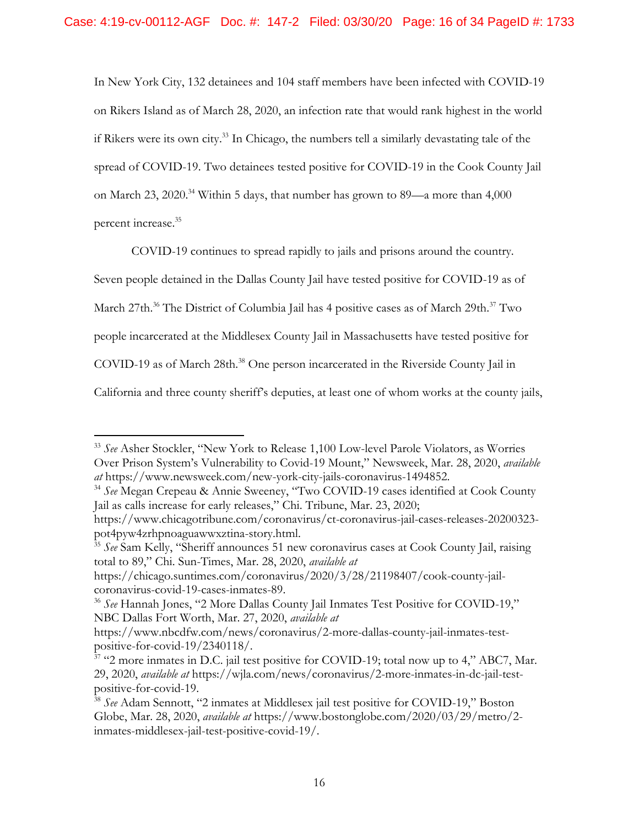if Rikers were its own city. 33 In Chicago, the numbers tell a similarly devastating tale of the In New York City, 132 detainees and 104 staff members have been infected with COVID-19 on Rikers Island as of March 28, 2020, an infection rate that would rank highest in the world spread of COVID-19. Two detainees tested positive for COVID-19 in the Cook County Jail on March 23, 2020.<sup>34</sup> Within 5 days, that number has grown to 89—a more than 4,000 percent increase. 35

COVID-19 continues to spread rapidly to jails and prisons around the country.

Seven people detained in the Dallas County Jail have tested positive for COVID-19 as of

March 27th.<sup>36</sup> The District of Columbia Jail has 4 positive cases as of March 29th.<sup>37</sup> Two

people incarcerated at the Middlesex County Jail in Massachusetts have tested positive for

COVID-19 as of March 28th.<sup>38</sup> One person incarcerated in the Riverside County Jail in

 $\overline{a}$ 

California and three county sheriff's deputies, at least one of whom works at the county jails,

total to 89," Chi. Sun-Times, Mar. 28, 2020, *available at* 

<sup>33</sup>*See* Asher Stockler, "New York to Release 1,100 Low-level Parole Violators, as Worries Over Prison System's Vulnerability to Covid-19 Mount," Newsweek, Mar. 28, 2020, *available* 

*at* https://www.newsweek.com/new-york-city-jails-coronavirus-1494852. 34 *See* Megan Crepeau & Annie Sweeney, "Two COVID-19 cases identified at Cook County Jail as calls increase for early releases," Chi. Tribune, Mar. 23, 2020;

[https://www.chicagotribune.com/coronavirus/ct-coronavirus-jail-cases-releases-20200323](https://www.chicagotribune.com/coronavirus/ct-coronavirus-jail-cases-releases-20200323-pot4pyw4zrhpnoaguawwxztina-story.html) [pot4pyw4zrhpnoaguawwxztina-story.html.](https://www.chicagotribune.com/coronavirus/ct-coronavirus-jail-cases-releases-20200323-pot4pyw4zrhpnoaguawwxztina-story.html) 35 *See* Sam Kelly, "Sheriff announces 51 new coronavirus cases at Cook County Jail, raising

https://chicago.suntimes.com/coronavirus/2020/3/28/21198407/cook-county-jailcoronavirus-covid-19-cases-inmates-89. 36 *See* Hannah Jones, "2 More Dallas County Jail Inmates Test Positive for COVID-19,"

NBC Dallas Fort Worth, Mar. 27, 2020, *available at* 

https://www.nbcdfw.com/news/coronavirus/2-more-dallas-county-jail-inmates-testpositive-for-covid-19/2340118/.<br><sup>37</sup> "2 more inmates in D.C. jail test positive for COVID-19; total now up to 4," ABC7, Mar.

<sup>29, 2020,</sup> *available at* https://wjla.com/news/coronavirus/2-more-inmates-in-dc-jail-testpositive-for-covid-19. 38 *See* Adam Sennott, "2 inmates at Middlesex jail test positive for COVID-19," Boston

Globe, Mar. 28, 2020, *available at* https://www.bostonglobe.com/2020/03/29/metro/2 inmates-middlesex-jail-test-positive-covid-19/.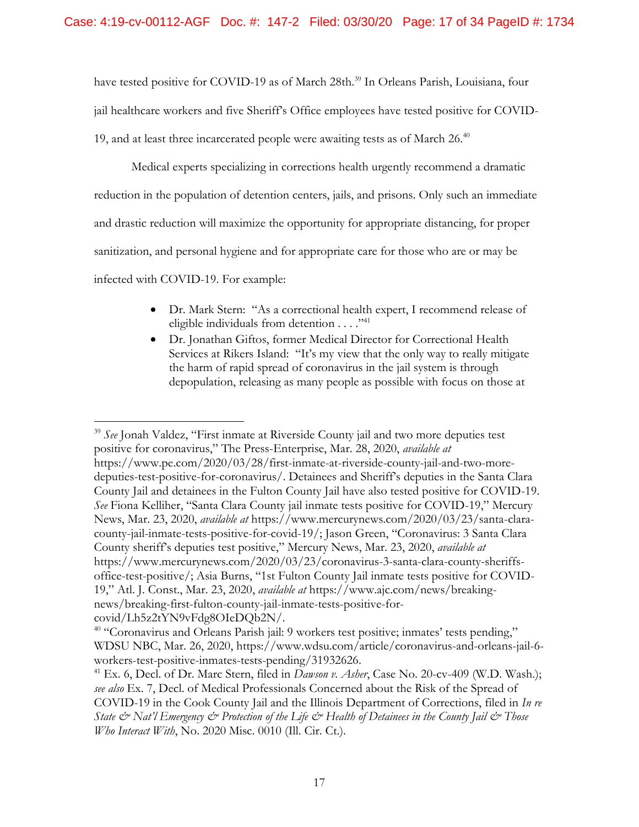have tested positive for COVID-19 as of March 28th.<sup>39</sup> In Orleans Parish, Louisiana, four jail healthcare workers and five Sheriff's Office employees have tested positive for COVID-19, and at least three incarcerated people were awaiting tests as of March  $26.40$ 

Medical experts specializing in corrections health urgently recommend a dramatic reduction in the population of detention centers, jails, and prisons. Only such an immediate and drastic reduction will maximize the opportunity for appropriate distancing, for proper sanitization, and personal hygiene and for appropriate care for those who are or may be infected with COVID-19. For example:

- Dr. Mark Stern: "As a correctional health expert, I recommend release of eligible individuals from detention  $\dots$ ."<sup>41</sup>
- Dr. Jonathan Giftos, former Medical Director for Correctional Health Services at Rikers Island: "It's my view that the only way to really mitigate the harm of rapid spread of coronavirus in the jail system is through depopulation, releasing as many people as possible with focus on those at

<sup>39</sup>*See* Jonah Valdez, "First inmate at Riverside County jail and two more deputies test positive for coronavirus," The Press-Enterprise, Mar. 28, 2020, *available at*  https://www.pe.com/2020/03/28/first-inmate-at-riverside-county-jail-and-two-moredeputies-test-positive-for-coronavirus/. Detainees and Sheriff's deputies in the Santa Clara County Jail and detainees in the Fulton County Jail have also tested positive for COVID-19. *See* Fiona Kelliher, "Santa Clara County jail inmate tests positive for COVID-19," Mercury News, Mar. 23, 2020, *available at* https://www.mercurynews.com/2020/03/23/santa-claracounty-jail-inmate-tests-positive-for-covid-19/; Jason Green, "Coronavirus: 3 Santa Clara County sheriff's deputies test positive," Mercury News, Mar. 23, 2020, *available at*  [https://www.mercurynews.com/2020/03/23/coronavirus-3-santa-clara-county-sheriffs](https://www.mercurynews.com/2020/03/23/coronavirus-3-santa-clara-county-sheriffs-office-test-positive/)[office-test-positive/;](https://www.mercurynews.com/2020/03/23/coronavirus-3-santa-clara-county-sheriffs-office-test-positive/) Asia Burns, "1st Fulton County Jail inmate tests positive for COVID-19," Atl. J. Const., Mar. 23, 2020, *available at* https://www.ajc.com/news/breakingnews/breaking-first-fulton-county-jail-inmate-tests-positive-forcovid/Lh5z2tYN9vFdg8OIeDQb2N/. 40 "Coronavirus and Orleans Parish jail: 9 workers test positive; inmates' tests pending,"

WDSU NBC, Mar. 26, 2020, https://www.wdsu.com/article/coronavirus-and-orleans-jail-6 workers-test-positive-inmates-tests-pending/31932626. 41 Ex. 6, Decl. of Dr. Marc Stern, filed in *Dawson v. Asher*, Case No. 20-cv-409 (W.D. Wash.);

*see also* Ex. 7, Decl. of Medical Professionals Concerned about the Risk of the Spread of COVID-19 in the Cook County Jail and the Illinois Department of Corrections, filed in *In re State & Nat'l Emergency & Protection of the Life & Health of Detainees in the County Jail & Those Who Interact With*, No. 2020 Misc. 0010 (Ill. Cir. Ct.).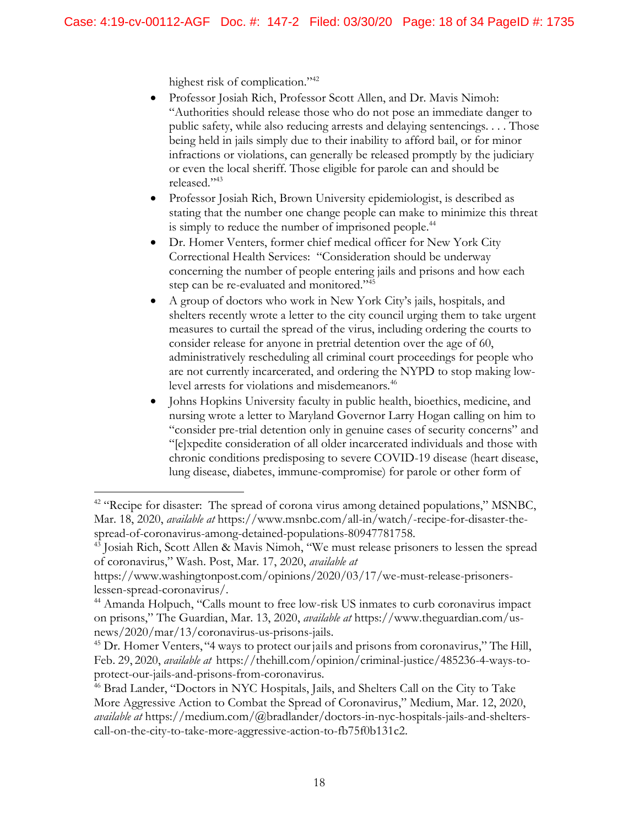highest risk of complication."<sup>42</sup>

- Professor Josiah Rich, Professor Scott Allen, and Dr. Mavis Nimoh: "Authorities should release those who do not pose an immediate danger to public safety, while also reducing arrests and delaying sentencings. . . . Those being held in jails simply due to their inability to afford bail, or for minor infractions or violations, can generally be released promptly by the judiciary or even the local sheriff. Those eligible for parole can and should be released."<sup>43</sup>
- Professor Josiah Rich, Brown University epidemiologist, is described as stating that the number one change people can make to minimize this threat is simply to reduce the number of imprisoned people.<sup>44</sup>
- step can be re-evaluated and monitored."<sup>45</sup> Dr. Homer Venters, former chief medical officer for New York City Correctional Health Services: "Consideration should be underway concerning the number of people entering jails and prisons and how each
- A group of doctors who work in New York City's jails, hospitals, and shelters recently wrote a letter to the city council urging them to take urgent measures to curtail the spread of the virus, including ordering the courts to consider release for anyone in pretrial detention over the age of 60, administratively rescheduling all criminal court proceedings for people who are not currently incarcerated, and ordering the NYPD to stop making lowlevel arrests for violations and misdemeanors.<sup>46</sup>
- Johns Hopkins University faculty in public health, bioethics, medicine, and nursing wrote a letter to Maryland Governor Larry Hogan calling on him to "consider pre-trial detention only in genuine cases of security concerns" and "[e]xpedite consideration of all older incarcerated individuals and those with chronic conditions predisposing to severe COVID-19 disease (heart disease, lung disease, diabetes, immune-compromise) for parole or other form of

<sup>&</sup>lt;sup>42</sup> "Recipe for disaster: The spread of corona virus among detained populations," MSNBC, Mar. 18, 2020, *available at* https://www.msnbc.com/all-in/watch/-recipe-for-disaster-thespread-of-coronavirus-among-detained-populations-80947781758.<br><sup>43</sup> Josiah Rich, Scott Allen & Mavis Nimoh, "We must release prisoners to lessen the spread

of coronavirus," Wash. Post, Mar. 17, 2020, *available at* 

https://www.washingtonpost.com/opinions/2020/03/17/we-must-release-prisonerslessen-spread-coronavirus/.

<sup>&</sup>lt;sup>44</sup> Amanda Holpuch, "Calls mount to free low-risk US inmates to curb coronavirus impact on prisons," The Guardian, Mar. 13, 2020, *available at* https://www.theguardian.com/usnews/2020/mar/13/coronavirus-us-prisons-jails.

<sup>&</sup>lt;sup>45</sup> Dr. Homer Venters, "4 ways to protect our jails and prisons from coronavirus," The Hill, Feb. 29, 2020, *available at* https://thehill.com/opinion/criminal-justice/485236-4-ways-toprotect-our-jails-and-prisons-from-coronavirus. 46 Brad Lander, "Doctors in NYC Hospitals, Jails, and Shelters Call on the City to Take

More Aggressive Action to Combat the Spread of Coronavirus," Medium, Mar. 12, 2020, *available at* https://medium.com/@bradlander/doctors-in-nyc-hospitals-jails-and-shelterscall-on-the-city-to-take-more-aggressive-action-to-fb75f0b131c2.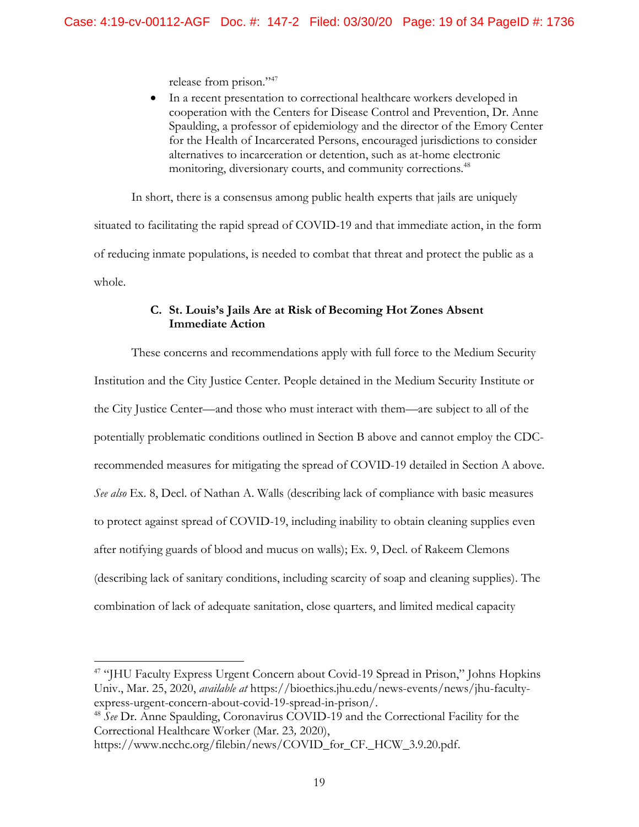release from prison."<sup>47</sup>

 In a recent presentation to correctional healthcare workers developed in cooperation with the Centers for Disease Control and Prevention, Dr. Anne Spaulding, a professor of epidemiology and the director of the Emory Center for the Health of Incarcerated Persons, encouraged jurisdictions to consider alternatives to incarceration or detention, such as at-home electronic monitoring, diversionary courts, and community corrections.<sup>48</sup>

In short, there is a consensus among public health experts that jails are uniquely

situated to facilitating the rapid spread of COVID-19 and that immediate action, in the form of reducing inmate populations, is needed to combat that threat and protect the public as a whole.

# **C. St. Louis's Jails Are at Risk of Becoming Hot Zones Absent Immediate Action**

These concerns and recommendations apply with full force to the Medium Security Institution and the City Justice Center. People detained in the Medium Security Institute or the City Justice Center—and those who must interact with them—are subject to all of the potentially problematic conditions outlined in Section B above and cannot employ the CDCrecommended measures for mitigating the spread of COVID-19 detailed in Section A above. *See also* Ex. 8, Decl. of Nathan A. Walls (describing lack of compliance with basic measures to protect against spread of COVID-19, including inability to obtain cleaning supplies even after notifying guards of blood and mucus on walls); Ex. 9, Decl. of Rakeem Clemons (describing lack of sanitary conditions, including scarcity of soap and cleaning supplies). The combination of lack of adequate sanitation, close quarters, and limited medical capacity

<sup>&</sup>lt;sup>47</sup> "JHU Faculty Express Urgent Concern about Covid-19 Spread in Prison," Johns Hopkins Univ., Mar. 25, 2020, *available at* https://bioethics.jhu.edu/news-events/news/jhu-facultyexpress-urgent-concern-about-covid-19-spread-in-prison/. 48 *See* Dr. Anne Spaulding, Coronavirus COVID-19 and the Correctional Facility for the

Correctional Healthcare Worker (Mar. 23*,* 2020),

https://www.ncchc.org/filebin/news/COVID\_for\_CF.\_HCW\_3.9.20.pdf.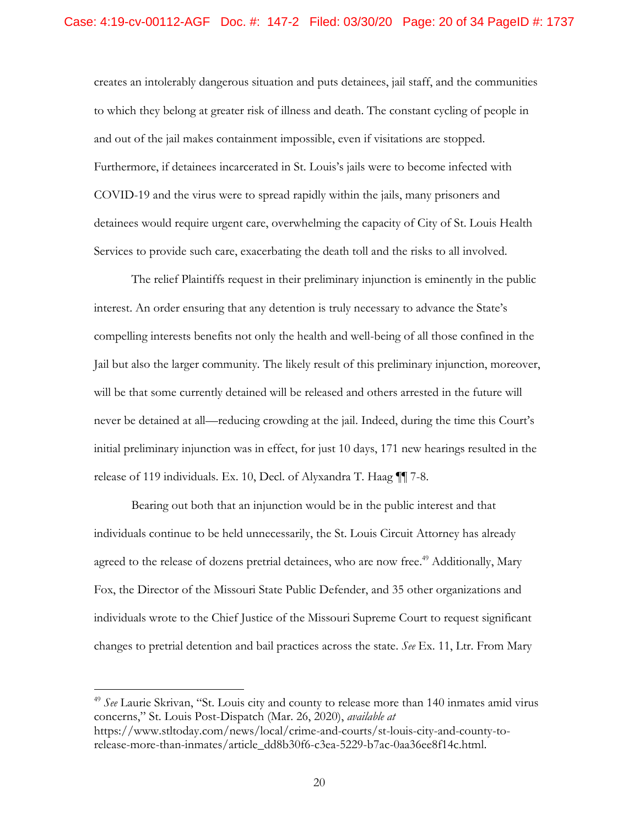creates an intolerably dangerous situation and puts detainees, jail staff, and the communities to which they belong at greater risk of illness and death. The constant cycling of people in and out of the jail makes containment impossible, even if visitations are stopped. Furthermore, if detainees incarcerated in St. Louis's jails were to become infected with COVID-19 and the virus were to spread rapidly within the jails, many prisoners and detainees would require urgent care, overwhelming the capacity of City of St. Louis Health Services to provide such care, exacerbating the death toll and the risks to all involved.

The relief Plaintiffs request in their preliminary injunction is eminently in the public interest. An order ensuring that any detention is truly necessary to advance the State's compelling interests benefits not only the health and well-being of all those confined in the Jail but also the larger community. The likely result of this preliminary injunction, moreover, will be that some currently detained will be released and others arrested in the future will never be detained at all—reducing crowding at the jail. Indeed, during the time this Court's initial preliminary injunction was in effect, for just 10 days, 171 new hearings resulted in the release of 119 individuals. Ex. 10, Decl. of Alyxandra T. Haag ¶¶ 7-8.

Bearing out both that an injunction would be in the public interest and that individuals continue to be held unnecessarily, the St. Louis Circuit Attorney has already agreed to the release of dozens pretrial detainees, who are now free.<sup>49</sup> Additionally, Mary Fox, the Director of the Missouri State Public Defender, and 35 other organizations and individuals wrote to the Chief Justice of the Missouri Supreme Court to request significant changes to pretrial detention and bail practices across the state. *See* Ex. 11, Ltr. From Mary

<sup>49</sup>*See* Laurie Skrivan, "St. Louis city and county to release more than 140 inmates amid virus concerns," St. Louis Post-Dispatch (Mar. 26, 2020), *available at*  https://www.stltoday.com/news/local/crime-and-courts/st-louis-city-and-county-torelease-more-than-inmates/article\_dd8b30f6-c3ea-5229-b7ac-0aa36ee8f14c.html.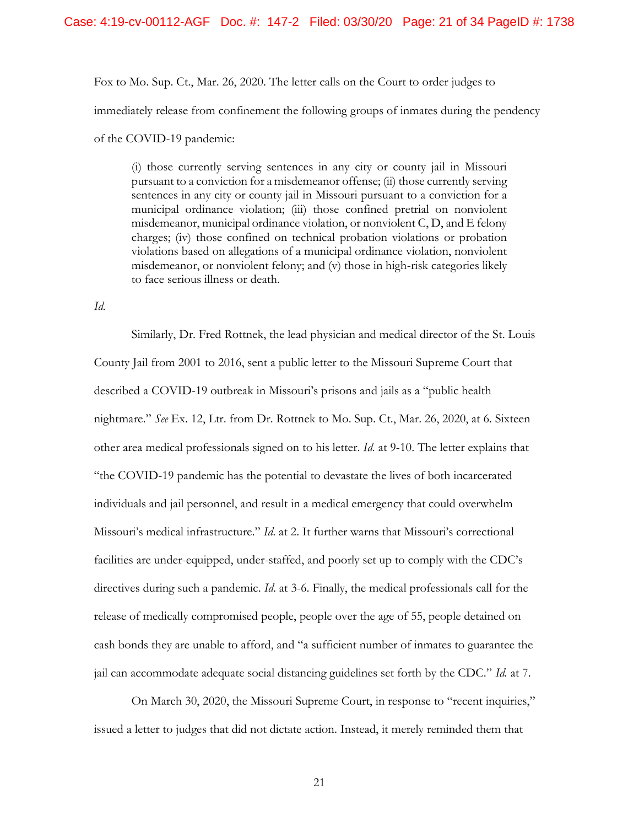Fox to Mo. Sup. Ct., Mar. 26, 2020. The letter calls on the Court to order judges to immediately release from confinement the following groups of inmates during the pendency of the COVID-19 pandemic:

 pursuant to a conviction for a misdemeanor offense; (ii) those currently serving sentences in any city or county jail in Missouri pursuant to a conviction for a misdemeanor, municipal ordinance violation, or nonviolent C, D, and E felony violations based on allegations of a municipal ordinance violation, nonviolent misdemeanor, or nonviolent felony; and (v) those in high-risk categories likely (i) those currently serving sentences in any city or county jail in Missouri municipal ordinance violation; (iii) those confined pretrial on nonviolent charges; (iv) those confined on technical probation violations or probation to face serious illness or death.

*Id.* 

Similarly, Dr. Fred Rottnek, the lead physician and medical director of the St. Louis County Jail from 2001 to 2016, sent a public letter to the Missouri Supreme Court that described a COVID-19 outbreak in Missouri's prisons and jails as a "public health nightmare." *See* Ex. 12, Ltr. from Dr. Rottnek to Mo. Sup. Ct., Mar. 26, 2020, at 6. Sixteen other area medical professionals signed on to his letter. *Id.* at 9-10. The letter explains that "the COVID-19 pandemic has the potential to devastate the lives of both incarcerated individuals and jail personnel, and result in a medical emergency that could overwhelm Missouri's medical infrastructure." *Id*. at 2. It further warns that Missouri's correctional facilities are under-equipped, under-staffed, and poorly set up to comply with the CDC's directives during such a pandemic. *Id*. at 3-6. Finally, the medical professionals call for the release of medically compromised people, people over the age of 55, people detained on cash bonds they are unable to afford, and "a sufficient number of inmates to guarantee the jail can accommodate adequate social distancing guidelines set forth by the CDC." *Id.* at 7.

On March 30, 2020, the Missouri Supreme Court, in response to "recent inquiries," issued a letter to judges that did not dictate action. Instead, it merely reminded them that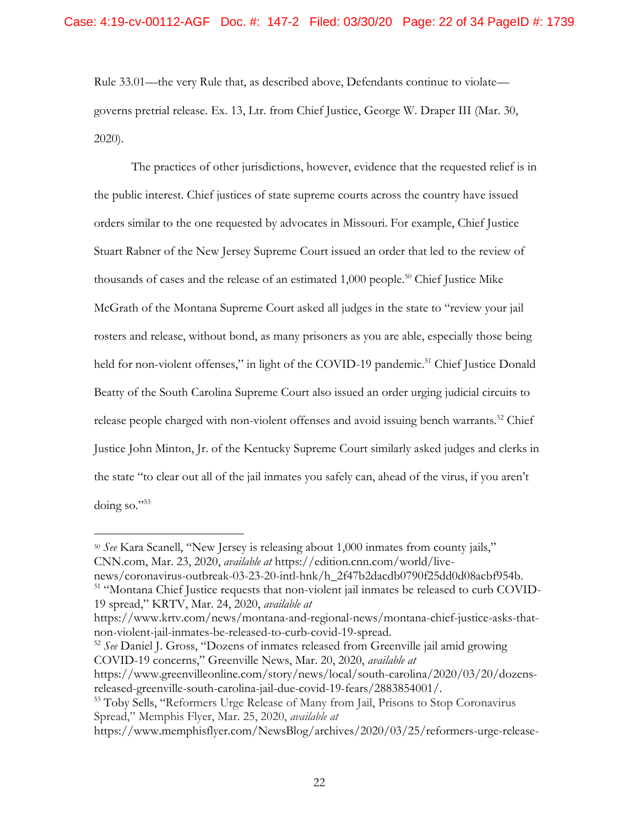Rule 33.01—the very Rule that, as described above, Defendants continue to violate governs pretrial release. Ex. 13, Ltr. from Chief Justice, George W. Draper III (Mar. 30, 2020).

thousands of cases and the release of an estimated  $1,000$  people.<sup>50</sup> Chief Justice Mike The practices of other jurisdictions, however, evidence that the requested relief is in the public interest. Chief justices of state supreme courts across the country have issued orders similar to the one requested by advocates in Missouri. For example, Chief Justice Stuart Rabner of the New Jersey Supreme Court issued an order that led to the review of McGrath of the Montana Supreme Court asked all judges in the state to "review your jail rosters and release, without bond, as many prisoners as you are able, especially those being held for non-violent offenses," in light of the COVID-19 pandemic.<sup>51</sup> Chief Justice Donald Beatty of the South Carolina Supreme Court also issued an order urging judicial circuits to release people charged with non-violent offenses and avoid issuing bench warrants.<sup>52</sup> Chief Justice John Minton, Jr. of the Kentucky Supreme Court similarly asked judges and clerks in the state "to clear out all of the jail inmates you safely can, ahead of the virus, if you aren't doing so."<sup>53</sup>

 $\overline{a}$ 

news/coronavirus-outbreak-03-23-20-intl-hnk/h\_2f47b2dacdb0790f25dd0d08acbf954b. 51 "Montana Chief Justice requests that non-violent jail inmates be released to curb COVID-

COVID-19 concerns," Greenville News, Mar. 20, 2020, *available at* 

<sup>50</sup>*See* Kara Scanell, "New Jersey is releasing about 1,000 inmates from county jails," CNN.com, Mar. 23, 2020, *available at* https://edition.cnn.com/world/live-

<sup>19</sup> spread," KRTV, Mar. 24, 2020, *available at* 

https://www.krtv.com/news/montana-and-regional-news/montana-chief-justice-asks-thatnon-violent-jail-inmates-be-released-to-curb-covid-19-spread. 52 *See* Daniel J. Gross, "Dozens of inmates released from Greenville jail amid growing

https://www.greenvilleonline.com/story/news/local/south-carolina/2020/03/20/dozensreleased-greenville-south-carolina-jail-due-covid-19-fears/2883854001/. 53 Toby Sells, "Reformers Urge Release of Many from Jail, Prisons to Stop Coronavirus

Spread," Memphis Flyer, Mar. 25, 2020, *available at* 

https://www.memphisflyer.com/NewsBlog/archives/2020/03/25/reformers-urge-release-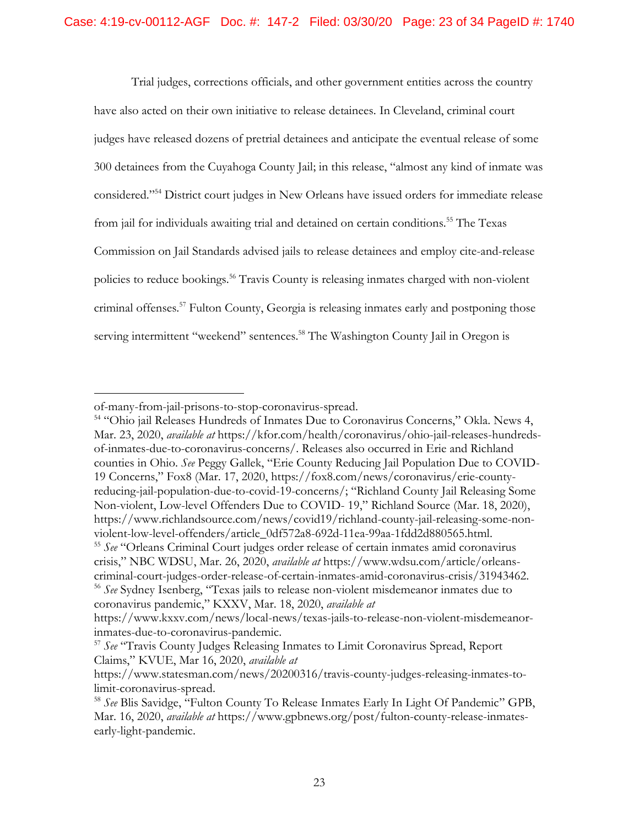Trial judges, corrections officials, and other government entities across the country have also acted on their own initiative to release detainees. In Cleveland, criminal court judges have released dozens of pretrial detainees and anticipate the eventual release of some 300 detainees from the Cuyahoga County Jail; in this release, "almost any kind of inmate was considered."54 District court judges in New Orleans have issued orders for immediate release from jail for individuals awaiting trial and detained on certain conditions.<sup>55</sup> The Texas Commission on Jail Standards advised jails to release detainees and employ cite-and-release policies to reduce bookings.<sup>56</sup> Travis County is releasing inmates charged with non-violent criminal offenses.<sup>57</sup> Fulton County, Georgia is releasing inmates early and postponing those serving intermittent "weekend" sentences.<sup>58</sup> The Washington County Jail in Oregon is

 $\overline{a}$ 

of-many-from-jail-prisons-to-stop-coronavirus-spread. 54 "Ohio jail Releases Hundreds of Inmates Due to Coronavirus Concerns," Okla. News 4, Mar. 23, 2020, *available at* [https://kfor.com/health/coronavirus/ohio-jail-releases-hundreds](https://kfor.com/health/coronavirus/ohio-jail-releases-hundreds-of-inmates-due-to-coronavirus-concerns/)[of-inmates-due-to-coronavirus-concerns/.](https://kfor.com/health/coronavirus/ohio-jail-releases-hundreds-of-inmates-due-to-coronavirus-concerns/) Releases also occurred in Erie and Richland counties in Ohio. *See* Peggy Gallek, "Erie County Reducing Jail Population Due to COVID-19 Concerns," Fox8 (Mar. 17, 2020, https://fox8.com/news/coronavirus/erie-countyreducing-jail-population-due-to-covid-19-concerns/; "Richland County Jail Releasing Some Non-violent, Low-level Offenders Due to COVID- 19," Richland Source (Mar. 18, 2020), https://www.richlandsource.com/news/covid19/richland-county-jail-releasing-some-nonviolent-low-level-offenders/article\_0df572a8-692d-11ea-99aa-1fdd2d880565.html. 55 *See* "Orleans Criminal Court judges order release of certain inmates amid coronavirus crisis," NBC WDSU, Mar. 26, 2020, *available at* https://www.wdsu.com/article/orleanscriminal-court-judges-order-release-of-certain-inmates-amid-coronavirus-crisis/31943462. 56 *See* Sydney Isenberg, "Texas jails to release non-violent misdemeanor inmates due to coronavirus pandemic," KXXV, Mar. 18, 2020, *available at*  https://www.kxxv.com/news/local-news/texas-jails-to-release-non-violent-misdemeanor-

inmates-due-to-coronavirus-pandemic. 57 *See* "Travis County Judges Releasing Inmates to Limit Coronavirus Spread, Report Claims," KVUE, Mar 16, 2020, *available at* 

https://www.statesman.com/news/20200316/travis-county-judges-releasing-inmates-tolimit-coronavirus-spread. 58 *See* Blis Savidge, "Fulton County To Release Inmates Early In Light Of Pandemic" GPB,

Mar. 16, 2020, *available at* https://www.gpbnews.org/post/fulton-county-release-inmatesearly-light-pandemic.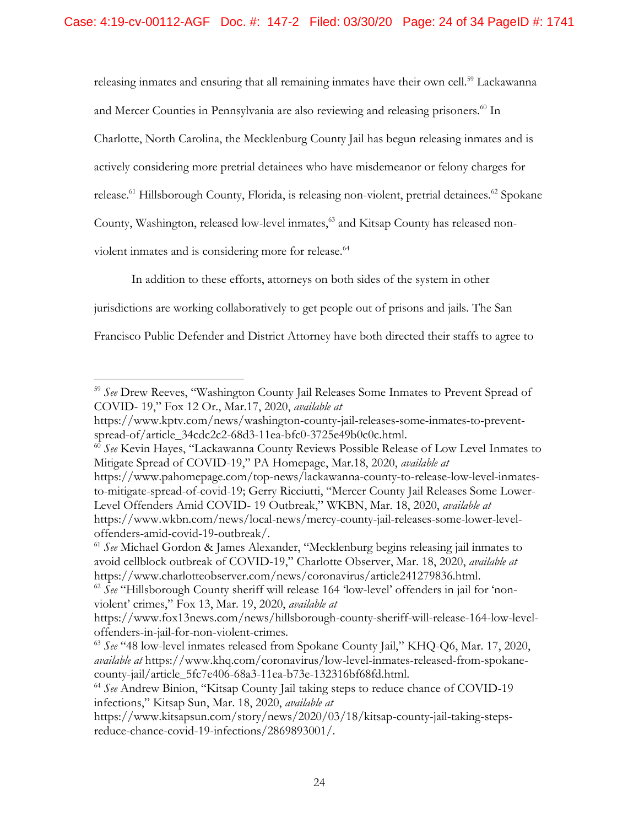releasing inmates and ensuring that all remaining inmates have their own cell.<sup>59</sup> Lackawanna and Mercer Counties in Pennsylvania are also reviewing and releasing prisoners.<sup>60</sup> In Charlotte, North Carolina, the Mecklenburg County Jail has begun releasing inmates and is actively considering more pretrial detainees who have misdemeanor or felony charges for release.<sup>61</sup> Hillsborough County, Florida, is releasing non-violent, pretrial detainees.<sup>62</sup> Spokane County, Washington, released low-level inmates,<sup>63</sup> and Kitsap County has released nonviolent inmates and is considering more for release.<sup>64</sup>

In addition to these efforts, attorneys on both sides of the system in other

jurisdictions are working collaboratively to get people out of prisons and jails. The San

 $\overline{a}$ 

Francisco Public Defender and District Attorney have both directed their staffs to agree to

https://www.pahomepage.com/top-news/lackawanna-county-to-release-low-level-inmatesto-mitigate-spread-of-covid-19; Gerry Ricciutti, "Mercer County Jail Releases Some Lower-Level Offenders Amid COVID- 19 Outbreak," WKBN, Mar. 18, 2020, *available at*  https://www.wkbn.com/news/local-news/mercy-county-jail-releases-some-lower-level-

<sup>59</sup>*See* Drew Reeves, "Washington County Jail Releases Some Inmates to Prevent Spread of COVID- 19," Fox 12 Or., Mar.17, 2020, *available at* 

https://www.kptv.com/news/washington-county-jail-releases-some-inmates-to-preventspread-of/article\_34cdc2c2-68d3-11ea-bfc0-3725e49b0c0c.html. 60 *See* Kevin Hayes, "Lackawanna County Reviews Possible Release of Low Level Inmates to

Mitigate Spread of COVID-19," PA Homepage, Mar.18, 2020, *available at* 

offenders-amid-covid-19-outbreak/. 61 *See* Michael Gordon & James Alexander, "Mecklenburg begins releasing jail inmates to avoid cellblock outbreak of COVID-19," Charlotte Observer, Mar. 18, 2020, *available at*  https://www.charlotteobserver.com/news/coronavirus/article241279836.html. 62 *See* "Hillsborough County sheriff will release 164 'low-level' offenders in jail for 'non-

violent' crimes," Fox 13, Mar. 19, 2020, *available at* 

https://www.fox13news.com/news/hillsborough-county-sheriff-will-release-164-low-leveloffenders-in-jail-for-non-violent-crimes. 63 *See* "48 low-level inmates released from Spokane County Jail," KHQ-Q6, Mar. 17, 2020,

*available at* https://www.khq.com/coronavirus/low-level-inmates-released-from-spokanecounty-jail/article\_5fc7e406-68a3-11ea-b73e-132316bf68fd.html. 64 *See* Andrew Binion, "Kitsap County Jail taking steps to reduce chance of COVID-19

infections," Kitsap Sun, Mar. 18, 2020, *available at* 

https://www.kitsapsun.com/story/news/2020/03/18/kitsap-county-jail-taking-stepsreduce-chance-covid-19-infections/2869893001/.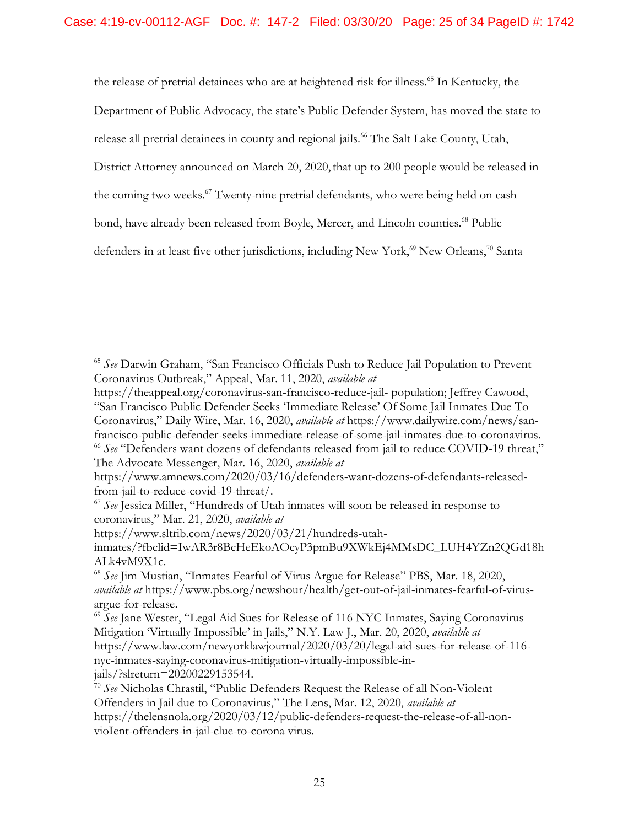the release of pretrial detainees who are at heightened risk for illness.<sup>65</sup> In Kentucky, the

Department of Public Advocacy, the state's Public Defender System, has moved the state to

release all pretrial detainees in county and regional jails.<sup>66</sup> The Salt Lake County, Utah,

District Attorney announced on March 20, 2020, that up to 200 people would be released in

the coming two weeks.<sup>67</sup> Twenty-nine pretrial defendants, who were being held on cash

bond, have already been released from Boyle, Mercer, and Lincoln counties.<sup>68</sup> Public

defenders in at least five other jurisdictions, including New York,<sup>69</sup> New Orleans,<sup>70</sup> Santa

<sup>65</sup>*See* Darwin Graham, "San Francisco Officials Push to Reduce Jail Population to Prevent Coronavirus Outbreak," Appeal, Mar. 11, 2020, *available at* 

https://theappeal.org/coronavirus-san-francisco-reduce-jail population; Jeffrey Cawood, "San Francisco Public Defender Seeks 'Immediate Release' Of Some Jail Inmates Due To Coronavirus," Daily Wire, Mar. 16, 2020, *available at* https://www.dailywire.com/news/sanfrancisco-public-defender-seeks-immediate-release-of-some-jail-inmates-due-to-coronavirus. <sup>66</sup>*See* "Defenders want dozens of defendants released from jail to reduce COVID-19 threat,"

The Advocate Messenger, Mar. 16, 2020, *available at* 

https://www.amnews.com/2020/03/16/defenders-want-dozens-of-defendants-released-

from-jail-to-reduce-covid-19-threat/. 67 *See* Jessica Miller, "Hundreds of Utah inmates will soon be released in response to coronavirus," Mar. 21, 2020, *available at* 

https://www.sltrib.com/news/2020/03/21/hundreds-utah-

inmates/?fbclid=IwAR3r8BcHeEkoAOcyP3pmBu9XWkEj4MMsDC\_LUH4YZn2QGd18h

ALk4vM9X1c.<br><sup>68</sup> *See* Jim Mustian, "Inmates Fearful of Virus Argue for Release" PBS, Mar. 18, 2020, *available at* https://www.pbs.org/newshour/health/get-out-of-jail-inmates-fearful-of-virusargue-for-release.<br><sup>69</sup> *See* Jane Wester, "Legal Aid Sues for Release of 116 NYC Inmates, Saying Coronavirus

Mitigation 'Virtually Impossible' in Jails," N.Y. Law J., Mar. 20, 2020, *available at*  https://www.law.com/newyorklawjournal/2020/03/20/legal-aid-sues-for-release-of-116 nyc-inmates-saying-coronavirus-mitigation-virtually-impossible-in-

jails/?slreturn=20200229153544. 70 *See* Nicholas Chrastil, "Public Defenders Request the Release of all Non-Violent Offenders in Jail due to Coronavirus," The Lens, Mar. 12, 2020, *available at*  https://thelensnola.org/2020/03/12/public-defenders-request-therelease-of-all-nonvioIent-offenders-in-jail-clue-to-corona virus.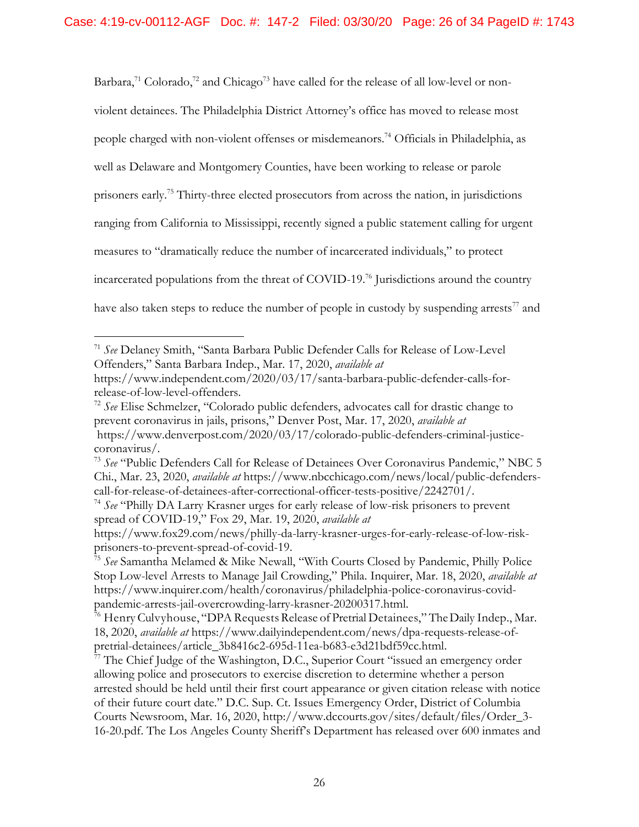Barbara,<sup>71</sup> Colorado,<sup>72</sup> and Chicago<sup>73</sup> have called for the release of all low-level or nonviolent detainees. The Philadelphia District Attorney's office has moved to release most people charged with non-violent offenses or misdemeanors.<sup>74</sup> Officials in Philadelphia, as well as Delaware and Montgomery Counties, have been working to release or parole prisoners early.75 Thirty-three elected prosecutors from across the nation, in jurisdictions ranging from California to Mississippi, recently signed a public statement calling for urgent measures to "dramatically reduce the number of incarcerated individuals," to protect incarcerated populations from the threat of COVID-19.<sup>76</sup> Jurisdictions around the country have also taken steps to reduce the number of people in custody by suspending arrests<sup>77</sup> and

<sup>71</sup>*See* Delaney Smith, "Santa Barbara Public Defender Calls for Release of Low-Level Offenders," Santa Barbara Indep., Mar. 17, 2020, *available at* 

https://www.independent.com/2020/03/17/santa-barbara-public-defender-calls-forrelease-of-low-level-offenders. 72 *See* Elise Schmelzer, "Colorado public defenders, advocates call for drastic change to

prevent coronavirus in jails, prisons," Denver Post, Mar. 17, 2020, *available at*  https://www.denverpost.com/2020/03/17/colorado-public-defenders-criminal-justice-

coronavirus/. 73 *See* "Public Defenders Call for Release of Detainees Over Coronavirus Pandemic," NBC 5 Chi., Mar. 23, 2020, *available at* [https://www.nbcchicago.com/news/local/public-defenders](https://www.nbcchicago.com/news/local/public-defenders-call-for-release-of-detainees-after-correctional-officer-tests-positive/2242701/)[call-for-release-of-detainees-after-correctional-officer-tests-positive/2242701/.](https://www.nbcchicago.com/news/local/public-defenders-call-for-release-of-detainees-after-correctional-officer-tests-positive/2242701/) 74 *See* "Philly DA Larry Krasner urges for early release of low-risk prisoners to prevent

spread of COVID-19," Fox 29, Mar. 19, 2020, *available at* 

https://www.fox29.com/news/philly-da-larry-krasner-urges-for-early-release-of-low-riskprisoners-to-prevent-spread-of-covid-19. 75 *See* Samantha Melamed & Mike Newall, "With Courts Closed by Pandemic, Philly Police

Stop Low-level Arrests to Manage Jail Crowding," Phila. Inquirer, Mar. 18, 2020, *available at*  https://www.inquirer.com/health/coronavirus/philadelphia-police-coronavirus-covidpandemic-arrests-jail-overcrowding-larry-krasner-20200317.html. 76 Henry Culvyhouse, "DPA Requests Release of Pretrial Detainees," The Daily Indep., Mar.

<sup>18, 2020,</sup> *available at* https://www.dailyindependent.com/news/dpa-requests-release-ofpretrial-detainees/article\_3b8416c2-695d-11ea-b683-e3d21bdf59cc.html.<br><sup>77</sup> The Chief Judge of the Washington, D.C., Superior Court "issued an emergency order

allowing police and prosecutors to exercise discretion to determine whether a person arrested should be held until their first court appearance or given citation release with notice of their future court date." D.C. Sup. Ct. Issues Emergency Order, District of Columbia Courts Newsroom, Mar. 16, 2020, http://www.dccourts.gov/sites/default/files/Order\_3- 16-20.pdf. The Los Angeles County Sheriff's Department has released over 600 inmates and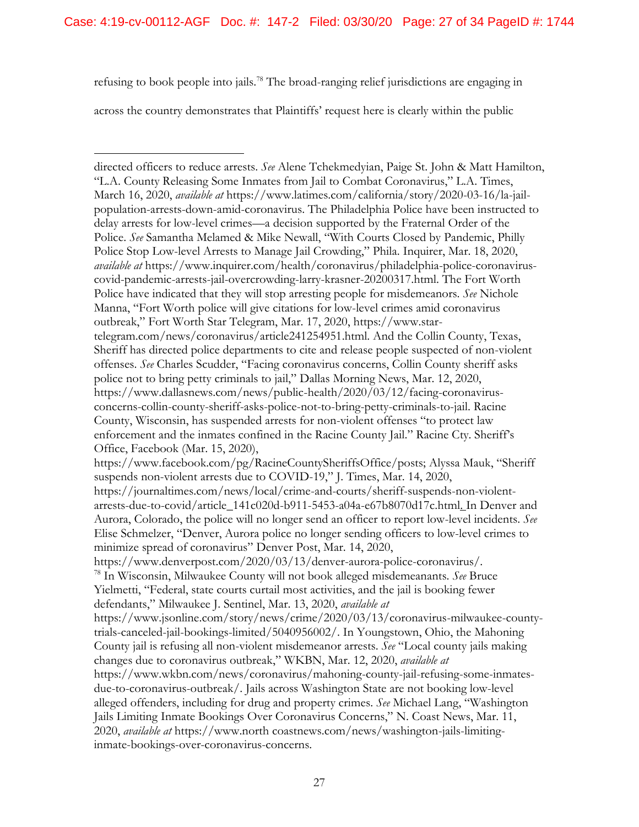refusing to book people into jails.<sup>78</sup> The broad-ranging relief jurisdictions are engaging in

across the country demonstrates that Plaintiffs' request here is clearly within the public

 $\overline{a}$ 

directed officers to reduce arrests. *See* Alene Tchekmedyian, Paige St. John & Matt Hamilton, "L.A. County Releasing Some Inmates from Jail to Combat Coronavirus," L.A. Times, March 16, 2020, *available at* https://www.latimes.com/california/story/2020-03-16/la-jailpopulation-arrests-down-amid-coronavirus. The Philadelphia Police have been instructed to delay arrests for low-level crimes—a decision supported by the Fraternal Order of the Police. *See* Samantha Melamed & Mike Newall, "With Courts Closed by Pandemic, Philly Police Stop Low-level Arrests to Manage Jail Crowding," Phila. Inquirer, Mar. 18, 2020, *available at* https://www.inquirer.com/health/coronavirus/philadelphia-police-coronaviruscovid-pandemic-arrests-jail-overcrowding-larry-krasner-20200317.html. The Fort Worth Police have indicated that they will stop arresting people for misdemeanors. *See* Nichole Manna, "Fort Worth police will give citations for low-level crimes amid coronavirus outbreak," Fort Worth Star Telegram, Mar. 17, 2020, https://www.startelegram.com/news/coronavirus/article241254951.html. And the Collin County, Texas, Sheriff has directed police departments to cite and release people suspected of non-violent offenses. *See* Charles Scudder, "Facing coronavirus concerns, Collin County sheriff asks police not to bring petty criminals to jail," Dallas Morning News, Mar. 12, 2020, https://www.dallasnews.com/news/public-health/2020/03/12/facing-coronavirusconcerns-collin-county-sheriff-asks-police-not-to-bring-petty-criminals-to-jail. Racine County, Wisconsin, has suspended arrests for non-violent offenses "to protect law enforcement and the inmates confined in the Racine County Jail." Racine Cty. Sheriff's Office, Facebook (Mar. 15, 2020), https://www.facebook.com/pg/RacineCountySheriffsOffice/posts; Alyssa Mauk, "Sheriff suspends non-violent arrests due to COVID-19," J. Times, Mar. 14, 2020, https://journaltimes.com/news/local/crime-and-courts/sheriff-suspends-non-violentarrests-due-to-covid/article\_141c020d-b911-5453-a04a-e67b8070d17c.html. In Denver and Aurora, Colorado, the police will no longer send an officer to report low-level incidents. *See*  Elise Schmelzer, "Denver, Aurora police no longer sending officers to low-level crimes to minimize spread of coronavirus" Denver Post, Mar. 14, 2020, https://www.denverpost.com/2020/03/13/denver-aurora-police-coronavirus/. 78 In Wisconsin, Milwaukee County will not book alleged misdemeanants. *See* Bruce Yielmetti, "Federal, state courts curtail most activities, and the jail is booking fewer defendants," Milwaukee J. Sentinel, Mar. 13, 2020, *available at*  https://www.jsonline.com/story/news/crime/2020/03/13/coronavirus-milwaukee-countytrials-canceled-jail-bookings-limited/5040956002/. In Youngstown, Ohio, the Mahoning County jail is refusing all non-violent misdemeanor arrests. *See* "Local county jails making changes due to coronavirus outbreak," WKBN, Mar. 12, 2020, *available at*  https://www.wkbn.com/news/coronavirus/mahoning-county-jail-refusing-some-inmatesdue-to-coronavirus-outbreak/. Jails across Washington State are not booking low-level alleged offenders, including for drug and property crimes. *See* Michael Lang, "Washington Jails Limiting Inmate Bookings Over Coronavirus Concerns," N. Coast News, Mar. 11, 2020, *available at* https://www.north coastnews.com/news/washington-jails-limitinginmate-bookings-over-coronavirus-concerns.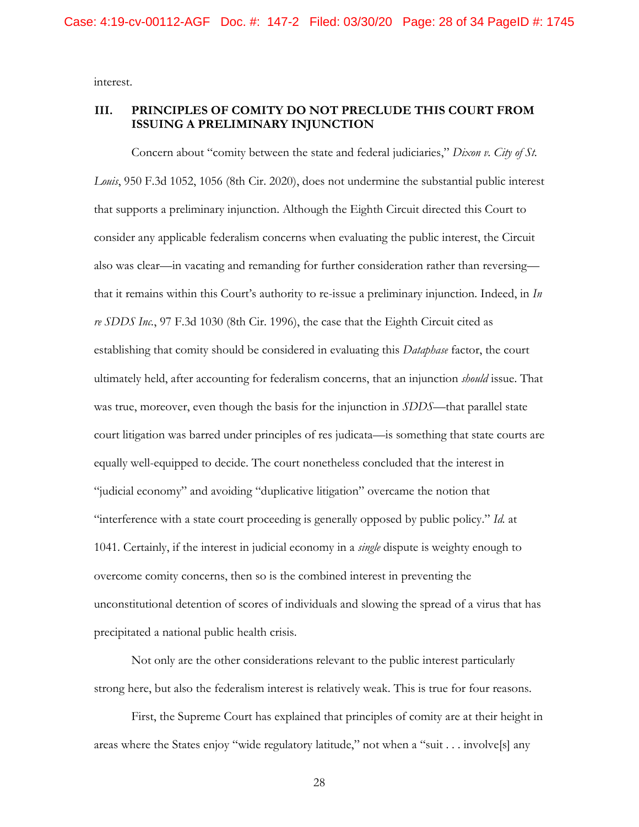interest.

### **III. PRINCIPLES OF COMITY DO NOT PRECLUDE THIS COURT FROM ISSUING A PRELIMINARY INJUNCTION**

Concern about "comity between the state and federal judiciaries," *Dixon v. City of St. Louis*, 950 F.3d 1052, 1056 (8th Cir. 2020), does not undermine the substantial public interest that supports a preliminary injunction. Although the Eighth Circuit directed this Court to consider any applicable federalism concerns when evaluating the public interest, the Circuit also was clear—in vacating and remanding for further consideration rather than reversing that it remains within this Court's authority to re-issue a preliminary injunction. Indeed, in *In re SDDS Inc.*, 97 F.3d 1030 (8th Cir. 1996), the case that the Eighth Circuit cited as establishing that comity should be considered in evaluating this *Dataphase* factor, the court ultimately held, after accounting for federalism concerns, that an injunction *should* issue. That was true, moreover, even though the basis for the injunction in *SDDS*—that parallel state court litigation was barred under principles of res judicata—is something that state courts are equally well-equipped to decide. The court nonetheless concluded that the interest in "judicial economy" and avoiding "duplicative litigation" overcame the notion that "interference with a state court proceeding is generally opposed by public policy." *Id.* at 1041. Certainly, if the interest in judicial economy in a *single* dispute is weighty enough to overcome comity concerns, then so is the combined interest in preventing the unconstitutional detention of scores of individuals and slowing the spread of a virus that has precipitated a national public health crisis.

Not only are the other considerations relevant to the public interest particularly strong here, but also the federalism interest is relatively weak. This is true for four reasons.

First, the Supreme Court has explained that principles of comity are at their height in areas where the States enjoy "wide regulatory latitude," not when a "suit . . . involve[s] any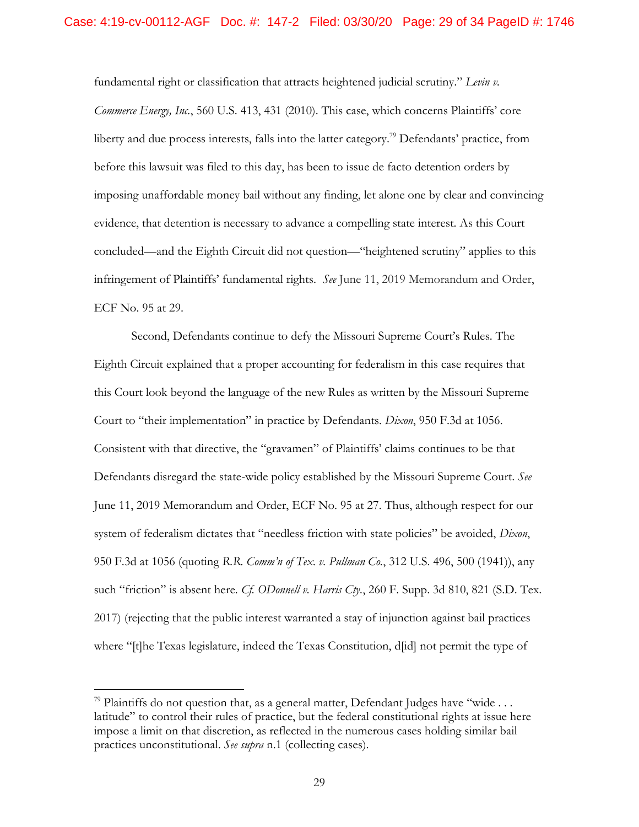fundamental right or classification that attracts heightened judicial scrutiny." *Levin v. Commerce Energy, Inc.*, 560 U.S. 413, 431 (2010). This case, which concerns Plaintiffs' core liberty and due process interests, falls into the latter category.<sup>79</sup> Defendants' practice, from before this lawsuit was filed to this day, has been to issue de facto detention orders by imposing unaffordable money bail without any finding, let alone one by clear and convincing evidence, that detention is necessary to advance a compelling state interest. As this Court concluded—and the Eighth Circuit did not question—"heightened scrutiny" applies to this infringement of Plaintiffs' fundamental rights. *See* June 11, 2019 Memorandum and Order, ECF No. 95 at 29.

Second, Defendants continue to defy the Missouri Supreme Court's Rules. The Eighth Circuit explained that a proper accounting for federalism in this case requires that this Court look beyond the language of the new Rules as written by the Missouri Supreme Court to "their implementation" in practice by Defendants. *Dixon*, 950 F.3d at 1056. Consistent with that directive, the "gravamen" of Plaintiffs' claims continues to be that Defendants disregard the state-wide policy established by the Missouri Supreme Court. *See*  June 11, 2019 Memorandum and Order, ECF No. 95 at 27. Thus, although respect for our system of federalism dictates that "needless friction with state policies" be avoided, *Dixon*, 950 F.3d at 1056 (quoting *R.R. Comm'n of Tex. v. Pullman Co.*, 312 U.S. 496, 500 (1941)), any such "friction" is absent here. *Cf. ODonnell v. Harris Cty.*, 260 F. Supp. 3d 810, 821 (S.D. Tex. 2017) (rejecting that the public interest warranted a stay of injunction against bail practices where "[t]he Texas legislature, indeed the Texas Constitution, d[id] not permit the type of

 $79$  Plaintiffs do not question that, as a general matter, Defendant Judges have "wide ... latitude" to control their rules of practice, but the federal constitutional rights at issue here impose a limit on that discretion, as reflected in the numerous cases holding similar bail practices unconstitutional. *See supra* n.1 (collecting cases).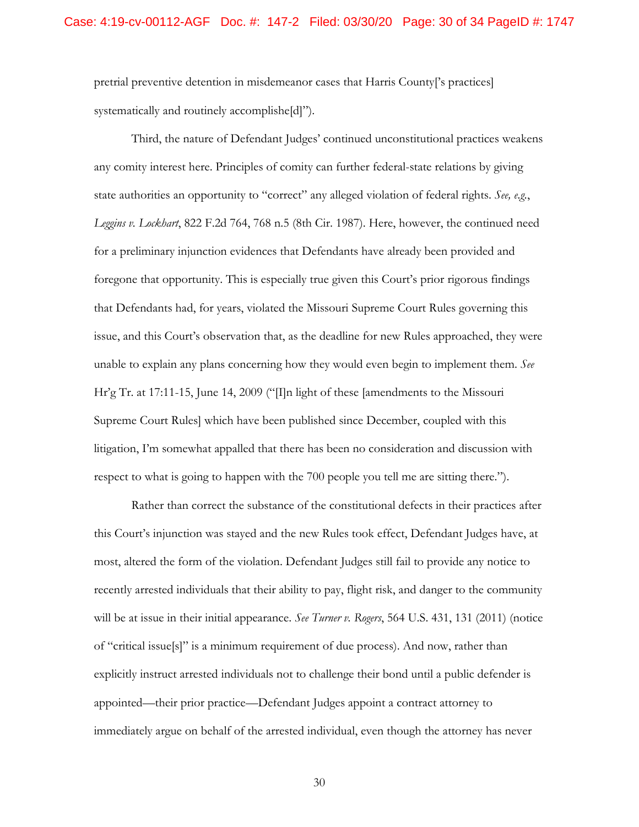pretrial preventive detention in misdemeanor cases that Harris County['s practices] systematically and routinely accomplishe[d]").

Third, the nature of Defendant Judges' continued unconstitutional practices weakens any comity interest here. Principles of comity can further federal-state relations by giving state authorities an opportunity to "correct" any alleged violation of federal rights. *See, e.g.*, *Leggins v. Lockhart*, 822 F.2d 764, 768 n.5 (8th Cir. 1987). Here, however, the continued need for a preliminary injunction evidences that Defendants have already been provided and foregone that opportunity. This is especially true given this Court's prior rigorous findings that Defendants had, for years, violated the Missouri Supreme Court Rules governing this issue, and this Court's observation that, as the deadline for new Rules approached, they were unable to explain any plans concerning how they would even begin to implement them. *See*  Hr'g Tr. at 17:11-15, June 14, 2009 ("I]n light of these [amendments to the Missouri Supreme Court Rules] which have been published since December, coupled with this litigation, I'm somewhat appalled that there has been no consideration and discussion with respect to what is going to happen with the 700 people you tell me are sitting there.").

Rather than correct the substance of the constitutional defects in their practices after this Court's injunction was stayed and the new Rules took effect, Defendant Judges have, at most, altered the form of the violation. Defendant Judges still fail to provide any notice to recently arrested individuals that their ability to pay, flight risk, and danger to the community will be at issue in their initial appearance. *See Turner v. Rogers*, 564 U.S. 431, 131 (2011) (notice of "critical issue[s]" is a minimum requirement of due process). And now, rather than explicitly instruct arrested individuals not to challenge their bond until a public defender is appointed—their prior practice—Defendant Judges appoint a contract attorney to immediately argue on behalf of the arrested individual, even though the attorney has never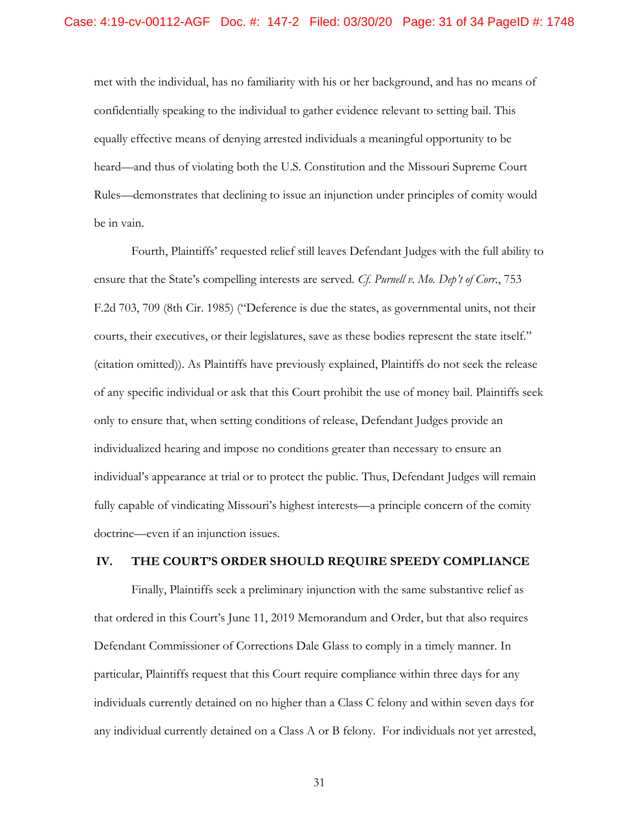met with the individual, has no familiarity with his or her background, and has no means of confidentially speaking to the individual to gather evidence relevant to setting bail. This equally effective means of denying arrested individuals a meaningful opportunity to be heard—and thus of violating both the U.S. Constitution and the Missouri Supreme Court Rules—demonstrates that declining to issue an injunction under principles of comity would be in vain.

Fourth, Plaintiffs' requested relief still leaves Defendant Judges with the full ability to ensure that the State's compelling interests are served. *Cf. Purnell v. Mo. Dep't of Corr.*, 753 F.2d 703, 709 (8th Cir. 1985) ("Deference is due the states, as governmental units, not their courts, their executives, or their legislatures, save as these bodies represent the state itself." (citation omitted)). As Plaintiffs have previously explained, Plaintiffs do not seek the release of any specific individual or ask that this Court prohibit the use of money bail. Plaintiffs seek only to ensure that, when setting conditions of release, Defendant Judges provide an individualized hearing and impose no conditions greater than necessary to ensure an individual's appearance at trial or to protect the public. Thus, Defendant Judges will remain fully capable of vindicating Missouri's highest interests—a principle concern of the comity doctrine—even if an injunction issues.

#### **IV. THE COURT'S ORDER SHOULD REQUIRE SPEEDY COMPLIANCE**

 any individual currently detained on a Class A or B felony. For individuals not yet arrested, Finally, Plaintiffs seek a preliminary injunction with the same substantive relief as that ordered in this Court's June 11, 2019 Memorandum and Order, but that also requires Defendant Commissioner of Corrections Dale Glass to comply in a timely manner. In particular, Plaintiffs request that this Court require compliance within three days for any individuals currently detained on no higher than a Class C felony and within seven days for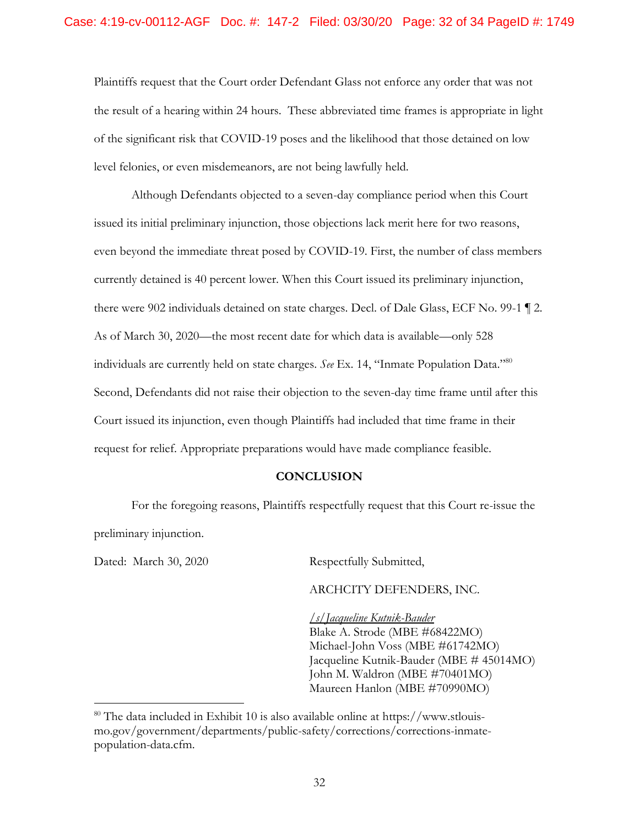Plaintiffs request that the Court order Defendant Glass not enforce any order that was not the result of a hearing within 24 hours. These abbreviated time frames is appropriate in light of the significant risk that COVID-19 poses and the likelihood that those detained on low level felonies, or even misdemeanors, are not being lawfully held.

Although Defendants objected to a seven-day compliance period when this Court issued its initial preliminary injunction, those objections lack merit here for two reasons, even beyond the immediate threat posed by COVID-19. First, the number of class members currently detained is 40 percent lower. When this Court issued its preliminary injunction, there were 902 individuals detained on state charges. Decl. of Dale Glass, ECF No. 99-1 ¶ 2. As of March 30, 2020—the most recent date for which data is available—only 528 individuals are currently held on state charges. *See* Ex. 14, "Inmate Population Data."<sup>80</sup> Second, Defendants did not raise their objection to the seven-day time frame until after this Court issued its injunction, even though Plaintiffs had included that time frame in their request for relief. Appropriate preparations would have made compliance feasible.

#### **CONCLUSION**

For the foregoing reasons, Plaintiffs respectfully request that this Court re-issue the preliminary injunction.

Dated: March 30, 2020 Respectfully Submitted,

 $\overline{a}$ 

ARCHCITY DEFENDERS, INC.

*/s/Jacqueline Kutnik-Bauder*  Blake A. Strode (MBE #68422MO) Michael-John Voss (MBE #61742MO) Jacqueline Kutnik-Bauder (MBE # 45014MO) John M. Waldron (MBE #70401MO) Maureen Hanlon (MBE #70990MO)

<sup>80</sup> The data included in Exhibit 10 is also available online at https://www.stlouismo.gov/government/departments/public-safety/corrections/corrections-inmatepopulation-data.cfm.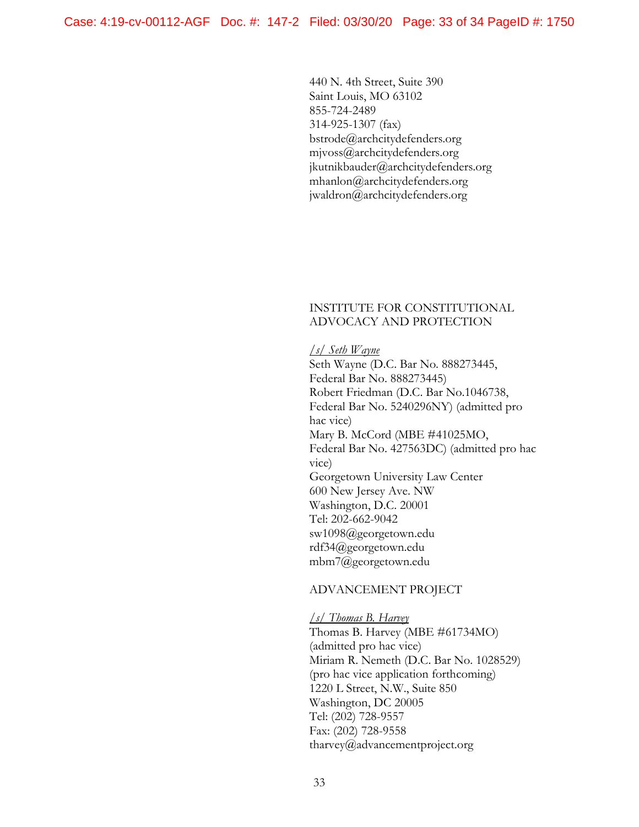440 N. 4th Street, Suite 390 Saint Louis, MO 63102 855-724-2489 314-925-1307 (fax) bstrode@archcitydefenders.org mjvoss@archcitydefenders.org jkutnikbauder@archcitydefenders.org mhanlon@archcitydefenders.org jwaldron@archcitydefenders.org

#### INSTITUTE FOR CONSTITUTIONAL ADVOCACY AND PROTECTION

#### */s/ Seth Wayne*

Seth Wayne (D.C. Bar No. 888273445, Federal Bar No. 888273445) Robert Friedman (D.C. Bar No.1046738, Federal Bar No. 5240296NY) (admitted pro hac vice) Mary B. McCord (MBE #41025MO, Federal Bar No. 427563DC) (admitted pro hac vice) Georgetown University Law Center 600 New Jersey Ave. NW Washington, D.C. 20001 Tel: 202-662-9042 sw1098@georgetown.edu rdf34@georgetown.edu mbm7@georgetown.edu

#### ADVANCEMENT PROJECT

*/s/ Thomas B. Harvey*  Thomas B. Harvey (MBE #61734MO) (admitted pro hac vice) Miriam R. Nemeth (D.C. Bar No. 1028529) (pro hac vice application forthcoming) 1220 L Street, N.W., Suite 850 Washington, DC 20005 Tel: (202) 728-9557 Fax: (202) 728-9558 tharvey@advancementproject.org